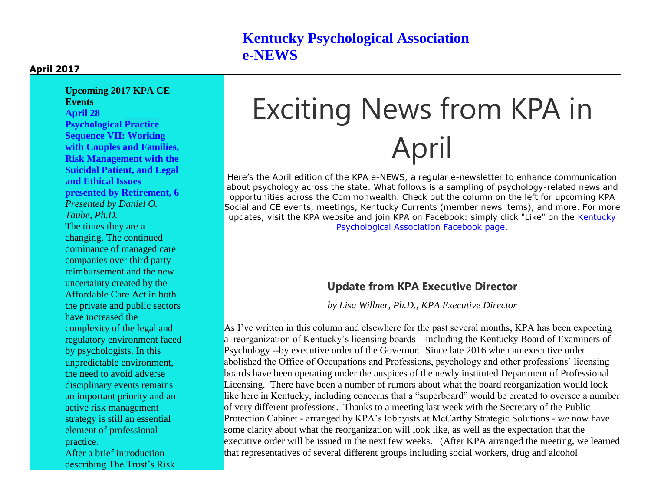### **Kentucky Psychological Association e-NEWS**

#### **April 2017**

**Upcoming 2017 KPA CE Events April 28 Psychological Practice Sequence VII: Working with Couples and Families, Risk Management with the Suicidal Patient, and Legal and Ethical Issues presented by Retirement, 6** *Presented by Daniel O. Taube, Ph.D.* The times they are a changing. The continued dominance of managed care companies over third party reimbursement and the new uncertainty created by the Affordable Care Act in both the private and public sectors have increased the complexity of the legal and regulatory environment faced by psychologists. In this unpredictable environment, the need to avoid adverse disciplinary events remains an important priority and an active risk management strategy is still an essential element of professional practice. After a brief introduction describing The Trust's Risk

# Exciting News from KPA in April

Here's the April edition of the KPA e-NEWS, a regular e-newsletter to enhance communication about psychology across the state. What follows is a sampling of psychology-related news and opportunities across the Commonwealth. Check out the column on the left for upcoming KPA Social and CE events, meetings, Kentucky Currents (member news items), and more. For more updates, visit the KPA website and join KPA on Facebook: simply click "Like" on the [Kentucky](http://kpa.memberclicks.net/message2/link/292572b2-91f4-4bf8-82e1-138aea29f44c/9)  [Psychological Association Facebook page.](http://kpa.memberclicks.net/message2/link/292572b2-91f4-4bf8-82e1-138aea29f44c/9)

### **Update from KPA Executive Director**

*by Lisa Willner, Ph.D., KPA Executive Director*

As I've written in this column and elsewhere for the past several months, KPA has been expecting a reorganization of Kentucky's licensing boards – including the Kentucky Board of Examiners of Psychology --by executive order of the Governor. Since late 2016 when an executive order abolished the Office of Occupations and Professions, psychology and other professions' licensing boards have been operating under the auspices of the newly instituted Department of Professional Licensing. There have been a number of rumors about what the board reorganization would look like here in Kentucky, including concerns that a "superboard" would be created to oversee a number of very different professions. Thanks to a meeting last week with the Secretary of the Public Protection Cabinet - arranged by KPA's lobbyists at McCarthy Strategic Solutions - we now have some clarity about what the reorganization will look like, as well as the expectation that the executive order will be issued in the next few weeks. (After KPA arranged the meeting, we learned that representatives of several different groups including social workers, drug and alcohol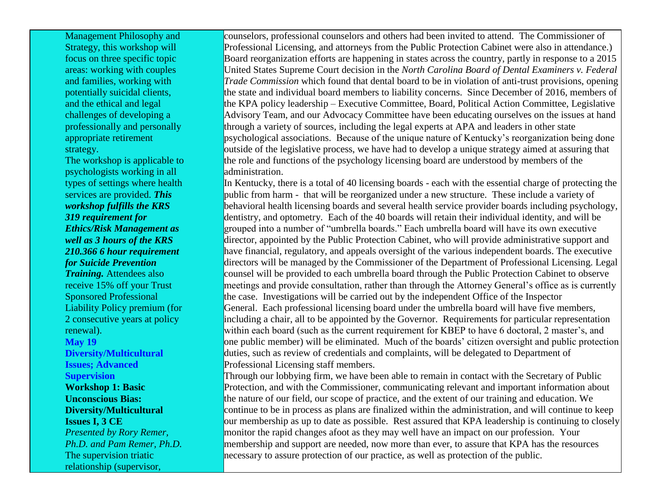Management Philosophy and Strategy, this workshop will focus on three specific topic areas: working with couples and families, working with potentially suicidal clients, and the ethical and legal challenges of developing a professionally and personally appropriate retirement strategy.

The workshop is applicable to psychologists working in all types of settings where health services are provided. *This workshop fulfills the KRS 319 requirement for Ethics/Risk Management as well as 3 hours of the KRS 210.366 6 hour requirement for Suicide Prevention Training.* Attendees also receive 15% off your Trust Sponsored Professional Liability Policy premium (for 2 consecutive years at policy renewal). **May 19 Diversity/Multicultural Issues; Advanced Supervision Workshop 1: Basic Unconscious Bias: Diversity/Multicultural Issues I, 3 CE** *Presented by Rory Remer, Ph.D. and Pam Remer, Ph.D.* The supervision triatic relationship (supervisor,

counselors, professional counselors and others had been invited to attend. The Commissioner of Professional Licensing, and attorneys from the Public Protection Cabinet were also in attendance.) Board reorganization efforts are happening in states across the country, partly in response to a 2015 United States Supreme Court decision in the *North Carolina Board of Dental Examiners v. Federal Trade Commission* which found that dental board to be in violation of anti-trust provisions, opening the state and individual board members to liability concerns. Since December of 2016, members of the KPA policy leadership – Executive Committee, Board, Political Action Committee, Legislative Advisory Team, and our Advocacy Committee have been educating ourselves on the issues at hand through a variety of sources, including the legal experts at APA and leaders in other state psychological associations. Because of the unique nature of Kentucky's reorganization being done outside of the legislative process, we have had to develop a unique strategy aimed at assuring that the role and functions of the psychology licensing board are understood by members of the administration.

In Kentucky, there is a total of 40 licensing boards - each with the essential charge of protecting the public from harm - that will be reorganized under a new structure. These include a variety of behavioral health licensing boards and several health service provider boards including psychology, dentistry, and optometry. Each of the 40 boards will retain their individual identity, and will be grouped into a number of "umbrella boards." Each umbrella board will have its own executive director, appointed by the Public Protection Cabinet, who will provide administrative support and have financial, regulatory, and appeals oversight of the various independent boards. The executive directors will be managed by the Commissioner of the Department of Professional Licensing. Legal counsel will be provided to each umbrella board through the Public Protection Cabinet to observe meetings and provide consultation, rather than through the Attorney General's office as is currently the case. Investigations will be carried out by the independent Office of the Inspector General. Each professional licensing board under the umbrella board will have five members, including a chair, all to be appointed by the Governor. Requirements for particular representation within each board (such as the current requirement for KBEP to have 6 doctoral, 2 master's, and one public member) will be eliminated. Much of the boards' citizen oversight and public protection duties, such as review of credentials and complaints, will be delegated to Department of Professional Licensing staff members.

Through our lobbying firm, we have been able to remain in contact with the Secretary of Public Protection, and with the Commissioner, communicating relevant and important information about the nature of our field, our scope of practice, and the extent of our training and education. We continue to be in process as plans are finalized within the administration, and will continue to keep our membership as up to date as possible. Rest assured that KPA leadership is continuing to closely monitor the rapid changes afoot as they may well have an impact on our profession. Your membership and support are needed, now more than ever, to assure that KPA has the resources necessary to assure protection of our practice, as well as protection of the public.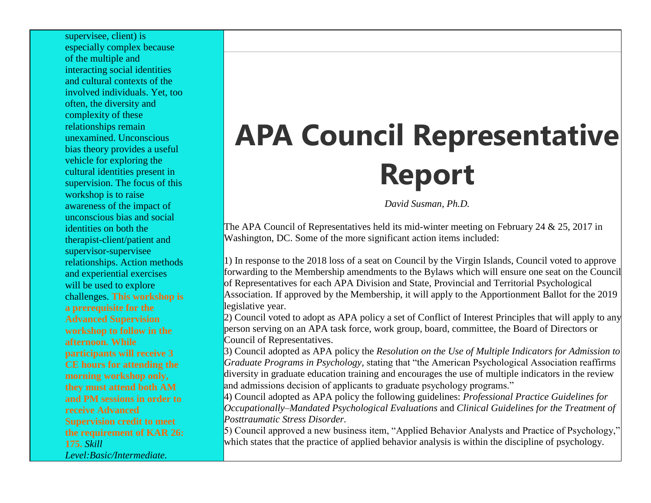supervisee, client) is especially complex because of the multiple and interacting social identities and cultural contexts of the involved individuals. Yet, too often, the diversity and complexity of these relationships remain unexamined. Unconscious bias theory provides a useful vehicle for exploring the cultural identities present in supervision. The focus of this workshop is to raise awareness of the impact of unconscious bias and social identities on both the therapist-client/patient and supervisor-supervisee relationships. Action methods and experiential exercises will be used to explore challenges. **This workshop is a prerequisite for the Advanced Supervision workshop to follow in the afternoon. While participants will receive 3 CE hours for attending the morning workshop only, they must attend both AM and PM sessions in order to receive Advanced Supervision credit to meet the requirement of KAR 26: 175.** *Skill Level:Basic/Intermediate.*

# **APA Council Representative Report**

*David Susman, Ph.D.*

The APA Council of Representatives held its mid-winter meeting on February 24 & 25, 2017 in Washington, DC. Some of the more significant action items included:

1) In response to the 2018 loss of a seat on Council by the Virgin Islands, Council voted to approve forwarding to the Membership amendments to the Bylaws which will ensure one seat on the Council of Representatives for each APA Division and State, Provincial and Territorial Psychological Association. If approved by the Membership, it will apply to the Apportionment Ballot for the 2019 legislative year.

2) Council voted to adopt as APA policy a set of Conflict of Interest Principles that will apply to any person serving on an APA task force, work group, board, committee, the Board of Directors or Council of Representatives.

3) Council adopted as APA policy the *Resolution on the Use of Multiple Indicators for Admission to Graduate Programs in Psychology,* stating that "the American Psychological Association reaffirms diversity in graduate education training and encourages the use of multiple indicators in the review and admissions decision of applicants to graduate psychology programs."

4) Council adopted as APA policy the following guidelines: *Professional Practice Guidelines for Occupationally–Mandated Psychological Evaluations* and *Clinical Guidelines for the Treatment of Posttraumatic Stress Disorder.*

5) Council approved a new business item, "Applied Behavior Analysts and Practice of Psychology," which states that the practice of applied behavior analysis is within the discipline of psychology.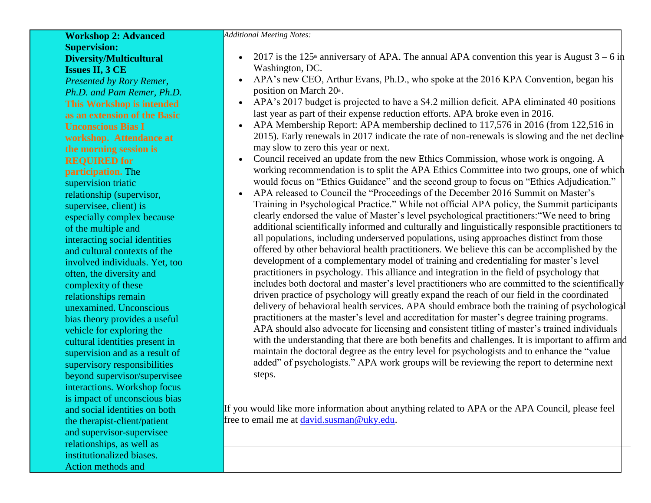### **Workshop 2: Advanced Supervision: Diversity/Multicultural Issues II, 3 CE**

*Presented by Rory Remer, Ph.D. and Pam Remer, Ph.D.* **This Workshop is intended as an extension of the Basic Unconscious Bias I workshop. Attendance at the morning session is REQUIRED for participation.** The supervision triatic relationship (supervisor, supervisee, client) is especially complex because of the multiple and interacting social identities and cultural contexts of the involved individuals. Yet, too often, the diversity and complexity of these relationships remain unexamined. Unconscious bias theory provides a useful vehicle for exploring the cultural identities present in supervision and as a result of supervisory responsibilities beyond supervisor/supervisee interactions. Workshop focus is impact of unconscious bias and social identities on both the therapist-client/patient and supervisor-supervisee relationships, as well as institutionalized biases. Action methods and

*Additional Meeting Notes:*

- 2017 is the 125<sup>th</sup> anniversary of APA. The annual APA convention this year is August  $3 6$  in Washington, DC.
- APA's new CEO, Arthur Evans, Ph.D., who spoke at the 2016 KPA Convention, began his position on March  $20<sup>th</sup>$ .
- APA's 2017 budget is projected to have a \$4.2 million deficit. APA eliminated 40 positions last year as part of their expense reduction efforts. APA broke even in 2016.
- APA Membership Report: APA membership declined to 117,576 in 2016 (from 122,516 in 2015). Early renewals in 2017 indicate the rate of non-renewals is slowing and the net decline may slow to zero this year or next.
- Council received an update from the new Ethics Commission, whose work is ongoing. A working recommendation is to split the APA Ethics Committee into two groups, one of which would focus on "Ethics Guidance" and the second group to focus on "Ethics Adjudication."
- APA released to Council the "Proceedings of the December 2016 Summit on Master's Training in Psychological Practice." While not official APA policy, the Summit participants clearly endorsed the value of Master's level psychological practitioners:"We need to bring additional scientifically informed and culturally and linguistically responsible practitioners to all populations, including underserved populations, using approaches distinct from those offered by other behavioral health practitioners. We believe this can be accomplished by the development of a complementary model of training and credentialing for master's level practitioners in psychology. This alliance and integration in the field of psychology that includes both doctoral and master's level practitioners who are committed to the scientifically driven practice of psychology will greatly expand the reach of our field in the coordinated delivery of behavioral health services. APA should embrace both the training of psychological practitioners at the master's level and accreditation for master's degree training programs. APA should also advocate for licensing and consistent titling of master's trained individuals with the understanding that there are both benefits and challenges. It is important to affirm and maintain the doctoral degree as the entry level for psychologists and to enhance the "value added" of psychologists." APA work groups will be reviewing the report to determine next steps.

If you would like more information about anything related to APA or the APA Council, please feel free to email me at [david.susman@uky.edu.](http://kpa.memberclicks.net/message2/link/292572b2-91f4-4bf8-82e1-138aea29f44c/16)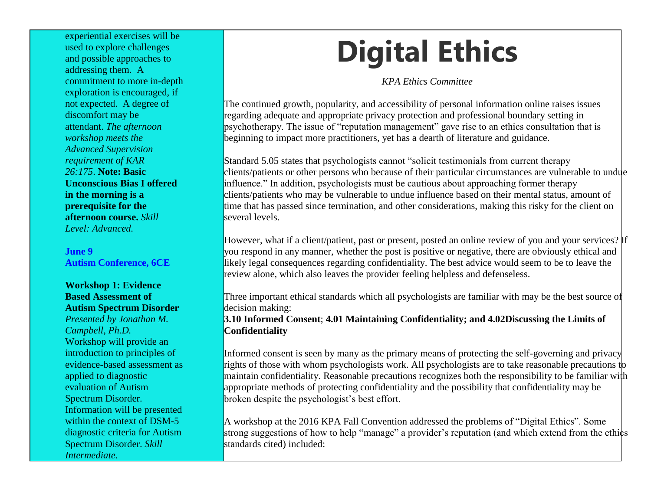experiential exercises will be used to explore challenges and possible approaches to addressing them. A commitment to more in-depth exploration is encouraged, if not expected. A degree of discomfort may be attendant. *The afternoon workshop meets the Advanced Supervision requirement of KAR 26:175*. **Note: Basic Unconscious Bias I offered in the morning is a prerequisite for the afternoon course.** *Skill Level: Advanced.*

**June 9 Autism Conference, 6CE**

### **Workshop 1: Evidence Based Assessment of Autism Spectrum Disorder**

*Presented by Jonathan M. Campbell, Ph.D.* Workshop will provide an introduction to principles of evidence-based assessment as applied to diagnostic evaluation of Autism Spectrum Disorder. Information will be presented within the context of DSM-5 diagnostic criteria for Autism Spectrum Disorder. *Skill Intermediate.*

# **Digital Ethics**

*KPA Ethics Committee*

The continued growth, popularity, and accessibility of personal information online raises issues regarding adequate and appropriate privacy protection and professional boundary setting in psychotherapy. The issue of "reputation management" gave rise to an ethics consultation that is beginning to impact more practitioners, yet has a dearth of literature and guidance.

Standard 5.05 states that psychologists cannot "solicit testimonials from current therapy clients/patients or other persons who because of their particular circumstances are vulnerable to undue influence." In addition, psychologists must be cautious about approaching former therapy clients/patients who may be vulnerable to undue influence based on their mental status, amount of time that has passed since termination, and other considerations, making this risky for the client on several levels.

However, what if a client/patient, past or present, posted an online review of you and your services? If you respond in any manner, whether the post is positive or negative, there are obviously ethical and likely legal consequences regarding confidentiality. The best advice would seem to be to leave the review alone, which also leaves the provider feeling helpless and defenseless.

Three important ethical standards which all psychologists are familiar with may be the best source of decision making:

**3.10 Informed Consent**; **4.01 Maintaining Confidentiality; and 4.02Discussing the Limits of Confidentiality**

Informed consent is seen by many as the primary means of protecting the self-governing and privacy rights of those with whom psychologists work. All psychologists are to take reasonable precautions to maintain confidentiality. Reasonable precautions recognizes both the responsibility to be familiar with appropriate methods of protecting confidentiality and the possibility that confidentiality may be broken despite the psychologist's best effort.

A workshop at the 2016 KPA Fall Convention addressed the problems of "Digital Ethics". Some strong suggestions of how to help "manage" a provider's reputation (and which extend from the ethics standards cited) included: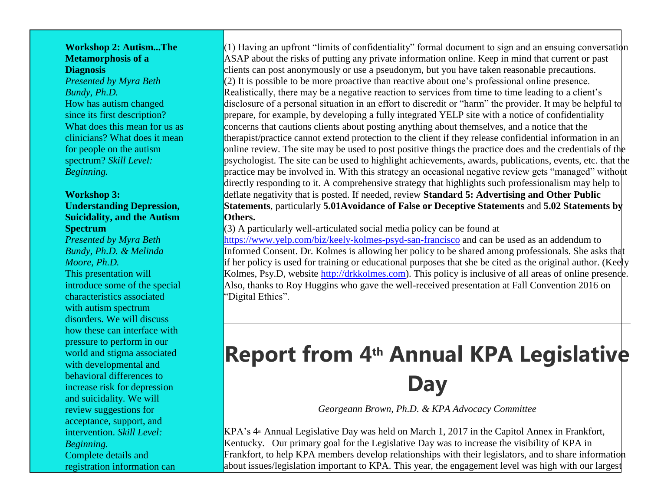#### **Workshop 2: Autism...The Metamorphosis of a Diagnosis**

*Presented by Myra Beth Bundy, Ph.D.* How has autism changed since its first description? What does this mean for us as clinicians? What does it mean for people on the autism spectrum? *Skill Level: Beginning.*

### **Workshop 3: Understanding Depression, Suicidality, and the Autism Spectrum**

*Presented by Myra Beth Bundy, Ph.D. & Melinda Moore, Ph.D.* This presentation will introduce some of the special characteristics associated with autism spectrum disorders. We will discuss how these can interface with pressure to perform in our world and stigma associated with developmental and behavioral differences to increase risk for depression and suicidality. We will review suggestions for acceptance, support, and intervention. *Skill Level: Beginning.* Complete details and registration information can

 $(1)$  Having an upfront "limits of confidentiality" formal document to sign and an ensuing conversation ASAP about the risks of putting any private information online. Keep in mind that current or past clients can post anonymously or use a pseudonym, but you have taken reasonable precautions.  $(2)$  It is possible to be more proactive than reactive about one's professional online presence. Realistically, there may be a negative reaction to services from time to time leading to a client's disclosure of a personal situation in an effort to discredit or "harm" the provider. It may be helpful to prepare, for example, by developing a fully integrated YELP site with a notice of confidentiality concerns that cautions clients about posting anything about themselves, and a notice that the therapist/practice cannot extend protection to the client if they release confidential information in an online review. The site may be used to post positive things the practice does and the credentials of the psychologist. The site can be used to highlight achievements, awards, publications, events, etc. that the practice may be involved in. With this strategy an occasional negative review gets "managed" without directly responding to it. A comprehensive strategy that highlights such professionalism may help to deflate negativity that is posted. If needed, review **Standard 5: Advertising and Other Public Statements**, particularly **5.01Avoidance of False or Deceptive Statements** and **5.02 Statements by Others.**

 $(3)$  A particularly well-articulated social media policy can be found at

[https://www.yelp.com/biz/keely-kolmes-psyd-san-francisco](http://kpa.memberclicks.net/message2/link/292572b2-91f4-4bf8-82e1-138aea29f44c/17) and can be used as an addendum to Informed Consent. Dr. Kolmes is allowing her policy to be shared among professionals. She asks that if her policy is used for training or educational purposes that she be cited as the original author. (Keely Kolmes, Psy.D, website [http://drkkolmes.com\)](http://kpa.memberclicks.net/message2/link/292572b2-91f4-4bf8-82e1-138aea29f44c/18). This policy is inclusive of all areas of online presence. Also, thanks to Roy Huggins who gave the well-received presentation at Fall Convention 2016 on "Digital Ethics".

## **Report from 4th Annual KPA Legislative Day**

*Georgeann Brown, Ph.D. & KPA Advocacy Committee*

 $KPA's 4<sup>th</sup>$  Annual Legislative Day was held on March 1, 2017 in the Capitol Annex in Frankfort, Kentucky. Our primary goal for the Legislative Day was to increase the visibility of KPA in Frankfort, to help KPA members develop relationships with their legislators, and to share information about issues/legislation important to KPA. This year, the engagement level was high with our largest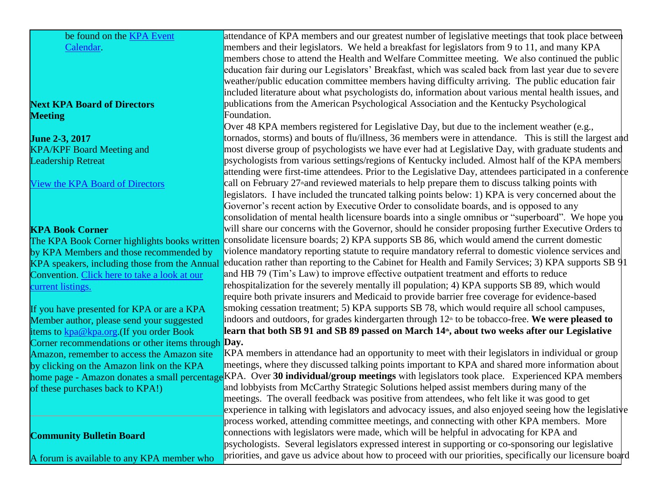| be found on the <b>KPA</b> Event<br>attendance of KPA members and our greatest number of legislative meetings that took place between<br>members and their legislators. We held a breakfast for legislators from 9 to 11, and many KPA<br>Calendar.<br>members chose to attend the Health and Welfare Committee meeting. We also continued the public<br>education fair during our Legislators' Breakfast, which was scaled back from last year due to severe<br>weather/public education committee members having difficulty arriving. The public education fair<br>included literature about what psychologists do, information about various mental health issues, and<br>publications from the American Psychological Association and the Kentucky Psychological<br>Foundation.<br>Over 48 KPA members registered for Legislative Day, but due to the inclement weather (e.g.,<br>tornados, storms) and bouts of flu/illness, 36 members were in attendance. This is still the largest and<br>most diverse group of psychologists we have ever had at Legislative Day, with graduate students and<br>psychologists from various settings/regions of Kentucky included. Almost half of the KPA members<br><b>Leadership Retreat</b><br>attending were first-time attendees. Prior to the Legislative Day, attendees participated in a conference<br>call on February 27 <sup>th</sup> and reviewed materials to help prepare them to discuss talking points with<br>legislators. I have included the truncated talking points below: 1) KPA is very concerned about the<br>Governor's recent action by Executive Order to consolidate boards, and is opposed to any<br>consolidation of mental health licensure boards into a single omnibus or "superboard". We hope you<br>will share our concerns with the Governor, should he consider proposing further Executive Orders to<br>consolidate licensure boards; 2) KPA supports SB 86, which would amend the current domestic<br>The KPA Book Corner highlights books written<br>violence mandatory reporting statute to require mandatory referral to domestic violence services and<br>by KPA Members and those recommended by<br>education rather than reporting to the Cabinet for Health and Family Services; 3) KPA supports SB 91<br>KPA speakers, including those from the Annual<br>and HB 79 (Tim's Law) to improve effective outpatient treatment and efforts to reduce<br>Convention. Click here to take a look at our<br>rehospitalization for the severely mentally ill population; 4) KPA supports SB 89, which would<br>require both private insurers and Medicaid to provide barrier free coverage for evidence-based<br>smoking cessation treatment; 5) KPA supports SB 78, which would require all school campuses,<br>If you have presented for KPA or are a KPA<br>indoors and outdoors, for grades kindergarten through $12th$ to be tobacco-free. We were pleased to<br>Member author, please send your suggested<br>learn that both SB 91 and SB 89 passed on March 14 <sup>th</sup> , about two weeks after our Legislative<br>items to <b>kpa@kpa.org</b> . (If you order Book<br>Corner recommendations or other items through <b>Day.</b><br>KPA members in attendance had an opportunity to meet with their legislators in individual or group<br>meetings, where they discussed talking points important to KPA and shared more information about<br>home page - Amazon donates a small percentage KPA. Over 30 individual/group meetings with legislators took place. Experienced KPA members<br>and lobbyists from McCarthy Strategic Solutions helped assist members during many of the<br>meetings. The overall feedback was positive from attendees, who felt like it was good to get<br>experience in talking with legislators and advocacy issues, and also enjoyed seeing how the legislative<br>process worked, attending committee meetings, and connecting with other KPA members. More<br>connections with legislators were made, which will be helpful in advocating for KPA and<br><b>Community Bulletin Board</b><br>psychologists. Several legislators expressed interest in supporting or co-sponsoring our legislative<br>priorities, and gave us advice about how to proceed with our priorities, specifically our licensure board<br>A forum is available to any KPA member who |                                            |  |
|----------------------------------------------------------------------------------------------------------------------------------------------------------------------------------------------------------------------------------------------------------------------------------------------------------------------------------------------------------------------------------------------------------------------------------------------------------------------------------------------------------------------------------------------------------------------------------------------------------------------------------------------------------------------------------------------------------------------------------------------------------------------------------------------------------------------------------------------------------------------------------------------------------------------------------------------------------------------------------------------------------------------------------------------------------------------------------------------------------------------------------------------------------------------------------------------------------------------------------------------------------------------------------------------------------------------------------------------------------------------------------------------------------------------------------------------------------------------------------------------------------------------------------------------------------------------------------------------------------------------------------------------------------------------------------------------------------------------------------------------------------------------------------------------------------------------------------------------------------------------------------------------------------------------------------------------------------------------------------------------------------------------------------------------------------------------------------------------------------------------------------------------------------------------------------------------------------------------------------------------------------------------------------------------------------------------------------------------------------------------------------------------------------------------------------------------------------------------------------------------------------------------------------------------------------------------------------------------------------------------------------------------------------------------------------------------------------------------------------------------------------------------------------------------------------------------------------------------------------------------------------------------------------------------------------------------------------------------------------------------------------------------------------------------------------------------------------------------------------------------------------------------------------------------------------------------------------------------------------------------------------------------------------------------------------------------------------------------------------------------------------------------------------------------------------------------------------------------------------------------------------------------------------------------------------------------------------------------------------------------------------------------------------------------------------------------------------------------------------------------------------------------------------------------------------------------------------------------------------------------------------------------------------------------------------------------------------------------------------------------------------------------------------------------------------------------------------------------------------------------------------------------------------------------------------------------------------------------------------------------------------------------------------------------------------------------------------------------------------------------------------------|--------------------------------------------|--|
|                                                                                                                                                                                                                                                                                                                                                                                                                                                                                                                                                                                                                                                                                                                                                                                                                                                                                                                                                                                                                                                                                                                                                                                                                                                                                                                                                                                                                                                                                                                                                                                                                                                                                                                                                                                                                                                                                                                                                                                                                                                                                                                                                                                                                                                                                                                                                                                                                                                                                                                                                                                                                                                                                                                                                                                                                                                                                                                                                                                                                                                                                                                                                                                                                                                                                                                                                                                                                                                                                                                                                                                                                                                                                                                                                                                                                                                                                                                                                                                                                                                                                                                                                                                                                                                                                                                                                                                        |                                            |  |
|                                                                                                                                                                                                                                                                                                                                                                                                                                                                                                                                                                                                                                                                                                                                                                                                                                                                                                                                                                                                                                                                                                                                                                                                                                                                                                                                                                                                                                                                                                                                                                                                                                                                                                                                                                                                                                                                                                                                                                                                                                                                                                                                                                                                                                                                                                                                                                                                                                                                                                                                                                                                                                                                                                                                                                                                                                                                                                                                                                                                                                                                                                                                                                                                                                                                                                                                                                                                                                                                                                                                                                                                                                                                                                                                                                                                                                                                                                                                                                                                                                                                                                                                                                                                                                                                                                                                                                                        |                                            |  |
|                                                                                                                                                                                                                                                                                                                                                                                                                                                                                                                                                                                                                                                                                                                                                                                                                                                                                                                                                                                                                                                                                                                                                                                                                                                                                                                                                                                                                                                                                                                                                                                                                                                                                                                                                                                                                                                                                                                                                                                                                                                                                                                                                                                                                                                                                                                                                                                                                                                                                                                                                                                                                                                                                                                                                                                                                                                                                                                                                                                                                                                                                                                                                                                                                                                                                                                                                                                                                                                                                                                                                                                                                                                                                                                                                                                                                                                                                                                                                                                                                                                                                                                                                                                                                                                                                                                                                                                        |                                            |  |
|                                                                                                                                                                                                                                                                                                                                                                                                                                                                                                                                                                                                                                                                                                                                                                                                                                                                                                                                                                                                                                                                                                                                                                                                                                                                                                                                                                                                                                                                                                                                                                                                                                                                                                                                                                                                                                                                                                                                                                                                                                                                                                                                                                                                                                                                                                                                                                                                                                                                                                                                                                                                                                                                                                                                                                                                                                                                                                                                                                                                                                                                                                                                                                                                                                                                                                                                                                                                                                                                                                                                                                                                                                                                                                                                                                                                                                                                                                                                                                                                                                                                                                                                                                                                                                                                                                                                                                                        |                                            |  |
|                                                                                                                                                                                                                                                                                                                                                                                                                                                                                                                                                                                                                                                                                                                                                                                                                                                                                                                                                                                                                                                                                                                                                                                                                                                                                                                                                                                                                                                                                                                                                                                                                                                                                                                                                                                                                                                                                                                                                                                                                                                                                                                                                                                                                                                                                                                                                                                                                                                                                                                                                                                                                                                                                                                                                                                                                                                                                                                                                                                                                                                                                                                                                                                                                                                                                                                                                                                                                                                                                                                                                                                                                                                                                                                                                                                                                                                                                                                                                                                                                                                                                                                                                                                                                                                                                                                                                                                        |                                            |  |
|                                                                                                                                                                                                                                                                                                                                                                                                                                                                                                                                                                                                                                                                                                                                                                                                                                                                                                                                                                                                                                                                                                                                                                                                                                                                                                                                                                                                                                                                                                                                                                                                                                                                                                                                                                                                                                                                                                                                                                                                                                                                                                                                                                                                                                                                                                                                                                                                                                                                                                                                                                                                                                                                                                                                                                                                                                                                                                                                                                                                                                                                                                                                                                                                                                                                                                                                                                                                                                                                                                                                                                                                                                                                                                                                                                                                                                                                                                                                                                                                                                                                                                                                                                                                                                                                                                                                                                                        |                                            |  |
|                                                                                                                                                                                                                                                                                                                                                                                                                                                                                                                                                                                                                                                                                                                                                                                                                                                                                                                                                                                                                                                                                                                                                                                                                                                                                                                                                                                                                                                                                                                                                                                                                                                                                                                                                                                                                                                                                                                                                                                                                                                                                                                                                                                                                                                                                                                                                                                                                                                                                                                                                                                                                                                                                                                                                                                                                                                                                                                                                                                                                                                                                                                                                                                                                                                                                                                                                                                                                                                                                                                                                                                                                                                                                                                                                                                                                                                                                                                                                                                                                                                                                                                                                                                                                                                                                                                                                                                        | <b>Next KPA Board of Directors</b>         |  |
|                                                                                                                                                                                                                                                                                                                                                                                                                                                                                                                                                                                                                                                                                                                                                                                                                                                                                                                                                                                                                                                                                                                                                                                                                                                                                                                                                                                                                                                                                                                                                                                                                                                                                                                                                                                                                                                                                                                                                                                                                                                                                                                                                                                                                                                                                                                                                                                                                                                                                                                                                                                                                                                                                                                                                                                                                                                                                                                                                                                                                                                                                                                                                                                                                                                                                                                                                                                                                                                                                                                                                                                                                                                                                                                                                                                                                                                                                                                                                                                                                                                                                                                                                                                                                                                                                                                                                                                        | <b>Meeting</b>                             |  |
|                                                                                                                                                                                                                                                                                                                                                                                                                                                                                                                                                                                                                                                                                                                                                                                                                                                                                                                                                                                                                                                                                                                                                                                                                                                                                                                                                                                                                                                                                                                                                                                                                                                                                                                                                                                                                                                                                                                                                                                                                                                                                                                                                                                                                                                                                                                                                                                                                                                                                                                                                                                                                                                                                                                                                                                                                                                                                                                                                                                                                                                                                                                                                                                                                                                                                                                                                                                                                                                                                                                                                                                                                                                                                                                                                                                                                                                                                                                                                                                                                                                                                                                                                                                                                                                                                                                                                                                        |                                            |  |
|                                                                                                                                                                                                                                                                                                                                                                                                                                                                                                                                                                                                                                                                                                                                                                                                                                                                                                                                                                                                                                                                                                                                                                                                                                                                                                                                                                                                                                                                                                                                                                                                                                                                                                                                                                                                                                                                                                                                                                                                                                                                                                                                                                                                                                                                                                                                                                                                                                                                                                                                                                                                                                                                                                                                                                                                                                                                                                                                                                                                                                                                                                                                                                                                                                                                                                                                                                                                                                                                                                                                                                                                                                                                                                                                                                                                                                                                                                                                                                                                                                                                                                                                                                                                                                                                                                                                                                                        | <b>June 2-3, 2017</b>                      |  |
|                                                                                                                                                                                                                                                                                                                                                                                                                                                                                                                                                                                                                                                                                                                                                                                                                                                                                                                                                                                                                                                                                                                                                                                                                                                                                                                                                                                                                                                                                                                                                                                                                                                                                                                                                                                                                                                                                                                                                                                                                                                                                                                                                                                                                                                                                                                                                                                                                                                                                                                                                                                                                                                                                                                                                                                                                                                                                                                                                                                                                                                                                                                                                                                                                                                                                                                                                                                                                                                                                                                                                                                                                                                                                                                                                                                                                                                                                                                                                                                                                                                                                                                                                                                                                                                                                                                                                                                        | <b>KPA/KPF Board Meeting and</b>           |  |
|                                                                                                                                                                                                                                                                                                                                                                                                                                                                                                                                                                                                                                                                                                                                                                                                                                                                                                                                                                                                                                                                                                                                                                                                                                                                                                                                                                                                                                                                                                                                                                                                                                                                                                                                                                                                                                                                                                                                                                                                                                                                                                                                                                                                                                                                                                                                                                                                                                                                                                                                                                                                                                                                                                                                                                                                                                                                                                                                                                                                                                                                                                                                                                                                                                                                                                                                                                                                                                                                                                                                                                                                                                                                                                                                                                                                                                                                                                                                                                                                                                                                                                                                                                                                                                                                                                                                                                                        |                                            |  |
|                                                                                                                                                                                                                                                                                                                                                                                                                                                                                                                                                                                                                                                                                                                                                                                                                                                                                                                                                                                                                                                                                                                                                                                                                                                                                                                                                                                                                                                                                                                                                                                                                                                                                                                                                                                                                                                                                                                                                                                                                                                                                                                                                                                                                                                                                                                                                                                                                                                                                                                                                                                                                                                                                                                                                                                                                                                                                                                                                                                                                                                                                                                                                                                                                                                                                                                                                                                                                                                                                                                                                                                                                                                                                                                                                                                                                                                                                                                                                                                                                                                                                                                                                                                                                                                                                                                                                                                        |                                            |  |
|                                                                                                                                                                                                                                                                                                                                                                                                                                                                                                                                                                                                                                                                                                                                                                                                                                                                                                                                                                                                                                                                                                                                                                                                                                                                                                                                                                                                                                                                                                                                                                                                                                                                                                                                                                                                                                                                                                                                                                                                                                                                                                                                                                                                                                                                                                                                                                                                                                                                                                                                                                                                                                                                                                                                                                                                                                                                                                                                                                                                                                                                                                                                                                                                                                                                                                                                                                                                                                                                                                                                                                                                                                                                                                                                                                                                                                                                                                                                                                                                                                                                                                                                                                                                                                                                                                                                                                                        | <b>View the KPA Board of Directors</b>     |  |
|                                                                                                                                                                                                                                                                                                                                                                                                                                                                                                                                                                                                                                                                                                                                                                                                                                                                                                                                                                                                                                                                                                                                                                                                                                                                                                                                                                                                                                                                                                                                                                                                                                                                                                                                                                                                                                                                                                                                                                                                                                                                                                                                                                                                                                                                                                                                                                                                                                                                                                                                                                                                                                                                                                                                                                                                                                                                                                                                                                                                                                                                                                                                                                                                                                                                                                                                                                                                                                                                                                                                                                                                                                                                                                                                                                                                                                                                                                                                                                                                                                                                                                                                                                                                                                                                                                                                                                                        |                                            |  |
|                                                                                                                                                                                                                                                                                                                                                                                                                                                                                                                                                                                                                                                                                                                                                                                                                                                                                                                                                                                                                                                                                                                                                                                                                                                                                                                                                                                                                                                                                                                                                                                                                                                                                                                                                                                                                                                                                                                                                                                                                                                                                                                                                                                                                                                                                                                                                                                                                                                                                                                                                                                                                                                                                                                                                                                                                                                                                                                                                                                                                                                                                                                                                                                                                                                                                                                                                                                                                                                                                                                                                                                                                                                                                                                                                                                                                                                                                                                                                                                                                                                                                                                                                                                                                                                                                                                                                                                        |                                            |  |
|                                                                                                                                                                                                                                                                                                                                                                                                                                                                                                                                                                                                                                                                                                                                                                                                                                                                                                                                                                                                                                                                                                                                                                                                                                                                                                                                                                                                                                                                                                                                                                                                                                                                                                                                                                                                                                                                                                                                                                                                                                                                                                                                                                                                                                                                                                                                                                                                                                                                                                                                                                                                                                                                                                                                                                                                                                                                                                                                                                                                                                                                                                                                                                                                                                                                                                                                                                                                                                                                                                                                                                                                                                                                                                                                                                                                                                                                                                                                                                                                                                                                                                                                                                                                                                                                                                                                                                                        |                                            |  |
|                                                                                                                                                                                                                                                                                                                                                                                                                                                                                                                                                                                                                                                                                                                                                                                                                                                                                                                                                                                                                                                                                                                                                                                                                                                                                                                                                                                                                                                                                                                                                                                                                                                                                                                                                                                                                                                                                                                                                                                                                                                                                                                                                                                                                                                                                                                                                                                                                                                                                                                                                                                                                                                                                                                                                                                                                                                                                                                                                                                                                                                                                                                                                                                                                                                                                                                                                                                                                                                                                                                                                                                                                                                                                                                                                                                                                                                                                                                                                                                                                                                                                                                                                                                                                                                                                                                                                                                        | <b>KPA Book Corner</b>                     |  |
|                                                                                                                                                                                                                                                                                                                                                                                                                                                                                                                                                                                                                                                                                                                                                                                                                                                                                                                                                                                                                                                                                                                                                                                                                                                                                                                                                                                                                                                                                                                                                                                                                                                                                                                                                                                                                                                                                                                                                                                                                                                                                                                                                                                                                                                                                                                                                                                                                                                                                                                                                                                                                                                                                                                                                                                                                                                                                                                                                                                                                                                                                                                                                                                                                                                                                                                                                                                                                                                                                                                                                                                                                                                                                                                                                                                                                                                                                                                                                                                                                                                                                                                                                                                                                                                                                                                                                                                        |                                            |  |
|                                                                                                                                                                                                                                                                                                                                                                                                                                                                                                                                                                                                                                                                                                                                                                                                                                                                                                                                                                                                                                                                                                                                                                                                                                                                                                                                                                                                                                                                                                                                                                                                                                                                                                                                                                                                                                                                                                                                                                                                                                                                                                                                                                                                                                                                                                                                                                                                                                                                                                                                                                                                                                                                                                                                                                                                                                                                                                                                                                                                                                                                                                                                                                                                                                                                                                                                                                                                                                                                                                                                                                                                                                                                                                                                                                                                                                                                                                                                                                                                                                                                                                                                                                                                                                                                                                                                                                                        |                                            |  |
|                                                                                                                                                                                                                                                                                                                                                                                                                                                                                                                                                                                                                                                                                                                                                                                                                                                                                                                                                                                                                                                                                                                                                                                                                                                                                                                                                                                                                                                                                                                                                                                                                                                                                                                                                                                                                                                                                                                                                                                                                                                                                                                                                                                                                                                                                                                                                                                                                                                                                                                                                                                                                                                                                                                                                                                                                                                                                                                                                                                                                                                                                                                                                                                                                                                                                                                                                                                                                                                                                                                                                                                                                                                                                                                                                                                                                                                                                                                                                                                                                                                                                                                                                                                                                                                                                                                                                                                        |                                            |  |
|                                                                                                                                                                                                                                                                                                                                                                                                                                                                                                                                                                                                                                                                                                                                                                                                                                                                                                                                                                                                                                                                                                                                                                                                                                                                                                                                                                                                                                                                                                                                                                                                                                                                                                                                                                                                                                                                                                                                                                                                                                                                                                                                                                                                                                                                                                                                                                                                                                                                                                                                                                                                                                                                                                                                                                                                                                                                                                                                                                                                                                                                                                                                                                                                                                                                                                                                                                                                                                                                                                                                                                                                                                                                                                                                                                                                                                                                                                                                                                                                                                                                                                                                                                                                                                                                                                                                                                                        |                                            |  |
|                                                                                                                                                                                                                                                                                                                                                                                                                                                                                                                                                                                                                                                                                                                                                                                                                                                                                                                                                                                                                                                                                                                                                                                                                                                                                                                                                                                                                                                                                                                                                                                                                                                                                                                                                                                                                                                                                                                                                                                                                                                                                                                                                                                                                                                                                                                                                                                                                                                                                                                                                                                                                                                                                                                                                                                                                                                                                                                                                                                                                                                                                                                                                                                                                                                                                                                                                                                                                                                                                                                                                                                                                                                                                                                                                                                                                                                                                                                                                                                                                                                                                                                                                                                                                                                                                                                                                                                        | current listings.                          |  |
|                                                                                                                                                                                                                                                                                                                                                                                                                                                                                                                                                                                                                                                                                                                                                                                                                                                                                                                                                                                                                                                                                                                                                                                                                                                                                                                                                                                                                                                                                                                                                                                                                                                                                                                                                                                                                                                                                                                                                                                                                                                                                                                                                                                                                                                                                                                                                                                                                                                                                                                                                                                                                                                                                                                                                                                                                                                                                                                                                                                                                                                                                                                                                                                                                                                                                                                                                                                                                                                                                                                                                                                                                                                                                                                                                                                                                                                                                                                                                                                                                                                                                                                                                                                                                                                                                                                                                                                        |                                            |  |
|                                                                                                                                                                                                                                                                                                                                                                                                                                                                                                                                                                                                                                                                                                                                                                                                                                                                                                                                                                                                                                                                                                                                                                                                                                                                                                                                                                                                                                                                                                                                                                                                                                                                                                                                                                                                                                                                                                                                                                                                                                                                                                                                                                                                                                                                                                                                                                                                                                                                                                                                                                                                                                                                                                                                                                                                                                                                                                                                                                                                                                                                                                                                                                                                                                                                                                                                                                                                                                                                                                                                                                                                                                                                                                                                                                                                                                                                                                                                                                                                                                                                                                                                                                                                                                                                                                                                                                                        |                                            |  |
|                                                                                                                                                                                                                                                                                                                                                                                                                                                                                                                                                                                                                                                                                                                                                                                                                                                                                                                                                                                                                                                                                                                                                                                                                                                                                                                                                                                                                                                                                                                                                                                                                                                                                                                                                                                                                                                                                                                                                                                                                                                                                                                                                                                                                                                                                                                                                                                                                                                                                                                                                                                                                                                                                                                                                                                                                                                                                                                                                                                                                                                                                                                                                                                                                                                                                                                                                                                                                                                                                                                                                                                                                                                                                                                                                                                                                                                                                                                                                                                                                                                                                                                                                                                                                                                                                                                                                                                        |                                            |  |
|                                                                                                                                                                                                                                                                                                                                                                                                                                                                                                                                                                                                                                                                                                                                                                                                                                                                                                                                                                                                                                                                                                                                                                                                                                                                                                                                                                                                                                                                                                                                                                                                                                                                                                                                                                                                                                                                                                                                                                                                                                                                                                                                                                                                                                                                                                                                                                                                                                                                                                                                                                                                                                                                                                                                                                                                                                                                                                                                                                                                                                                                                                                                                                                                                                                                                                                                                                                                                                                                                                                                                                                                                                                                                                                                                                                                                                                                                                                                                                                                                                                                                                                                                                                                                                                                                                                                                                                        |                                            |  |
|                                                                                                                                                                                                                                                                                                                                                                                                                                                                                                                                                                                                                                                                                                                                                                                                                                                                                                                                                                                                                                                                                                                                                                                                                                                                                                                                                                                                                                                                                                                                                                                                                                                                                                                                                                                                                                                                                                                                                                                                                                                                                                                                                                                                                                                                                                                                                                                                                                                                                                                                                                                                                                                                                                                                                                                                                                                                                                                                                                                                                                                                                                                                                                                                                                                                                                                                                                                                                                                                                                                                                                                                                                                                                                                                                                                                                                                                                                                                                                                                                                                                                                                                                                                                                                                                                                                                                                                        |                                            |  |
|                                                                                                                                                                                                                                                                                                                                                                                                                                                                                                                                                                                                                                                                                                                                                                                                                                                                                                                                                                                                                                                                                                                                                                                                                                                                                                                                                                                                                                                                                                                                                                                                                                                                                                                                                                                                                                                                                                                                                                                                                                                                                                                                                                                                                                                                                                                                                                                                                                                                                                                                                                                                                                                                                                                                                                                                                                                                                                                                                                                                                                                                                                                                                                                                                                                                                                                                                                                                                                                                                                                                                                                                                                                                                                                                                                                                                                                                                                                                                                                                                                                                                                                                                                                                                                                                                                                                                                                        | Amazon, remember to access the Amazon site |  |
|                                                                                                                                                                                                                                                                                                                                                                                                                                                                                                                                                                                                                                                                                                                                                                                                                                                                                                                                                                                                                                                                                                                                                                                                                                                                                                                                                                                                                                                                                                                                                                                                                                                                                                                                                                                                                                                                                                                                                                                                                                                                                                                                                                                                                                                                                                                                                                                                                                                                                                                                                                                                                                                                                                                                                                                                                                                                                                                                                                                                                                                                                                                                                                                                                                                                                                                                                                                                                                                                                                                                                                                                                                                                                                                                                                                                                                                                                                                                                                                                                                                                                                                                                                                                                                                                                                                                                                                        | by clicking on the Amazon link on the KPA  |  |
|                                                                                                                                                                                                                                                                                                                                                                                                                                                                                                                                                                                                                                                                                                                                                                                                                                                                                                                                                                                                                                                                                                                                                                                                                                                                                                                                                                                                                                                                                                                                                                                                                                                                                                                                                                                                                                                                                                                                                                                                                                                                                                                                                                                                                                                                                                                                                                                                                                                                                                                                                                                                                                                                                                                                                                                                                                                                                                                                                                                                                                                                                                                                                                                                                                                                                                                                                                                                                                                                                                                                                                                                                                                                                                                                                                                                                                                                                                                                                                                                                                                                                                                                                                                                                                                                                                                                                                                        |                                            |  |
|                                                                                                                                                                                                                                                                                                                                                                                                                                                                                                                                                                                                                                                                                                                                                                                                                                                                                                                                                                                                                                                                                                                                                                                                                                                                                                                                                                                                                                                                                                                                                                                                                                                                                                                                                                                                                                                                                                                                                                                                                                                                                                                                                                                                                                                                                                                                                                                                                                                                                                                                                                                                                                                                                                                                                                                                                                                                                                                                                                                                                                                                                                                                                                                                                                                                                                                                                                                                                                                                                                                                                                                                                                                                                                                                                                                                                                                                                                                                                                                                                                                                                                                                                                                                                                                                                                                                                                                        | of these purchases back to KPA!)           |  |
|                                                                                                                                                                                                                                                                                                                                                                                                                                                                                                                                                                                                                                                                                                                                                                                                                                                                                                                                                                                                                                                                                                                                                                                                                                                                                                                                                                                                                                                                                                                                                                                                                                                                                                                                                                                                                                                                                                                                                                                                                                                                                                                                                                                                                                                                                                                                                                                                                                                                                                                                                                                                                                                                                                                                                                                                                                                                                                                                                                                                                                                                                                                                                                                                                                                                                                                                                                                                                                                                                                                                                                                                                                                                                                                                                                                                                                                                                                                                                                                                                                                                                                                                                                                                                                                                                                                                                                                        |                                            |  |
|                                                                                                                                                                                                                                                                                                                                                                                                                                                                                                                                                                                                                                                                                                                                                                                                                                                                                                                                                                                                                                                                                                                                                                                                                                                                                                                                                                                                                                                                                                                                                                                                                                                                                                                                                                                                                                                                                                                                                                                                                                                                                                                                                                                                                                                                                                                                                                                                                                                                                                                                                                                                                                                                                                                                                                                                                                                                                                                                                                                                                                                                                                                                                                                                                                                                                                                                                                                                                                                                                                                                                                                                                                                                                                                                                                                                                                                                                                                                                                                                                                                                                                                                                                                                                                                                                                                                                                                        |                                            |  |
|                                                                                                                                                                                                                                                                                                                                                                                                                                                                                                                                                                                                                                                                                                                                                                                                                                                                                                                                                                                                                                                                                                                                                                                                                                                                                                                                                                                                                                                                                                                                                                                                                                                                                                                                                                                                                                                                                                                                                                                                                                                                                                                                                                                                                                                                                                                                                                                                                                                                                                                                                                                                                                                                                                                                                                                                                                                                                                                                                                                                                                                                                                                                                                                                                                                                                                                                                                                                                                                                                                                                                                                                                                                                                                                                                                                                                                                                                                                                                                                                                                                                                                                                                                                                                                                                                                                                                                                        |                                            |  |
|                                                                                                                                                                                                                                                                                                                                                                                                                                                                                                                                                                                                                                                                                                                                                                                                                                                                                                                                                                                                                                                                                                                                                                                                                                                                                                                                                                                                                                                                                                                                                                                                                                                                                                                                                                                                                                                                                                                                                                                                                                                                                                                                                                                                                                                                                                                                                                                                                                                                                                                                                                                                                                                                                                                                                                                                                                                                                                                                                                                                                                                                                                                                                                                                                                                                                                                                                                                                                                                                                                                                                                                                                                                                                                                                                                                                                                                                                                                                                                                                                                                                                                                                                                                                                                                                                                                                                                                        |                                            |  |
|                                                                                                                                                                                                                                                                                                                                                                                                                                                                                                                                                                                                                                                                                                                                                                                                                                                                                                                                                                                                                                                                                                                                                                                                                                                                                                                                                                                                                                                                                                                                                                                                                                                                                                                                                                                                                                                                                                                                                                                                                                                                                                                                                                                                                                                                                                                                                                                                                                                                                                                                                                                                                                                                                                                                                                                                                                                                                                                                                                                                                                                                                                                                                                                                                                                                                                                                                                                                                                                                                                                                                                                                                                                                                                                                                                                                                                                                                                                                                                                                                                                                                                                                                                                                                                                                                                                                                                                        |                                            |  |
|                                                                                                                                                                                                                                                                                                                                                                                                                                                                                                                                                                                                                                                                                                                                                                                                                                                                                                                                                                                                                                                                                                                                                                                                                                                                                                                                                                                                                                                                                                                                                                                                                                                                                                                                                                                                                                                                                                                                                                                                                                                                                                                                                                                                                                                                                                                                                                                                                                                                                                                                                                                                                                                                                                                                                                                                                                                                                                                                                                                                                                                                                                                                                                                                                                                                                                                                                                                                                                                                                                                                                                                                                                                                                                                                                                                                                                                                                                                                                                                                                                                                                                                                                                                                                                                                                                                                                                                        |                                            |  |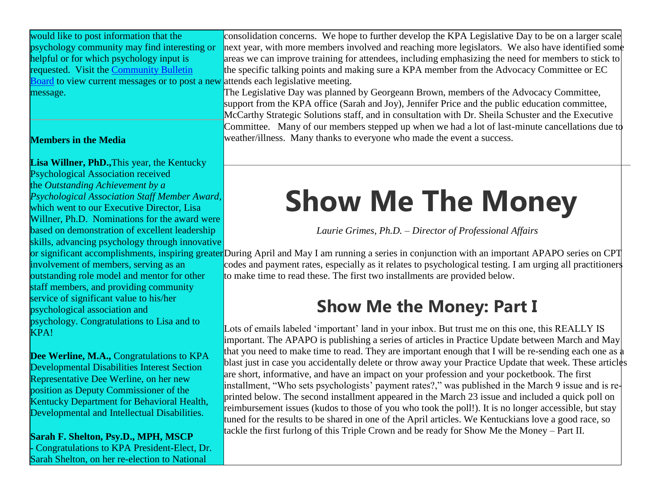would like to post information that the psychology community may find interesting or helpful or for which psychology input is requested. Visit the [Community Bulletin](http://kpa.memberclicks.net/message2/link/292572b2-91f4-4bf8-82e1-138aea29f44c/4)  [Board](http://kpa.memberclicks.net/message2/link/292572b2-91f4-4bf8-82e1-138aea29f44c/4) to view current messages or to post a new message.

### **Members in the Media**

**Lisa Willner, PhD.,**This year, the Kentucky Psychological Association received the *Outstanding Achievement by a Psychological Association Staff Member Award*, which went to our Executive Director, Lisa Willner, Ph.D. Nominations for the award were based on demonstration of excellent leadership skills, advancing psychology through innovative

involvement of members, serving as an outstanding role model and mentor for other staff members, and providing community service of significant value to his/her psychological association and psychology. Congratulations to Lisa and to KPA!

**Dee Werline, M.A.,** Congratulations to KPA Developmental Disabilities Interest Section Representative Dee Werline, on her new position as Deputy Commissioner of the Kentucky Department for Behavioral Health, Developmental and Intellectual Disabilities.

**Sarah F. Shelton, Psy.D., MPH, MSCP -** Congratulations to KPA President-Elect, Dr. Sarah Shelton, on her re-election to National

consolidation concerns. We hope to further develop the KPA Legislative Day to be on a larger scale next year, with more members involved and reaching more legislators. We also have identified some areas we can improve training for attendees, including emphasizing the need for members to stick to the specific talking points and making sure a KPA member from the Advocacy Committee or EC attends each legislative meeting.

The Legislative Day was planned by Georgeann Brown, members of the Advocacy Committee, support from the KPA office (Sarah and Joy), Jennifer Price and the public education committee, McCarthy Strategic Solutions staff, and in consultation with Dr. Sheila Schuster and the Executive Committee. Many of our members stepped up when we had a lot of last-minute cancellations due to weather/illness. Many thanks to everyone who made the event a success.

# **Show Me The Money**

*Laurie Grimes, Ph.D. – Director of Professional Affairs*

or significant accomplishments, inspiring greater During April and May I am running a series in conjunction with an important APAPO series on CPT codes and payment rates, especially as it relates to psychological testing. I am urging all practitioners to make time to read these. The first two installments are provided below.

### **Show Me the Money: Part I**

Lots of emails labeled 'important' land in your inbox. But trust me on this one, this REALLY IS important. The APAPO is publishing a series of articles in Practice Update between March and May that you need to make time to read. They are important enough that I will be re-sending each one as blast just in case you accidentally delete or throw away your Practice Update that week. These articles are short, informative, and have an impact on your profession and your pocketbook. The first installment, "Who sets psychologists' payment rates?," was published in the March 9 issue and is reprinted below. The second installment appeared in the March 23 issue and included a quick poll on reimbursement issues (kudos to those of you who took the poll!). It is no longer accessible, but stay tuned for the results to be shared in one of the April articles. We Kentuckians love a good race, so tackle the first furlong of this Triple Crown and be ready for Show Me the Money – Part II.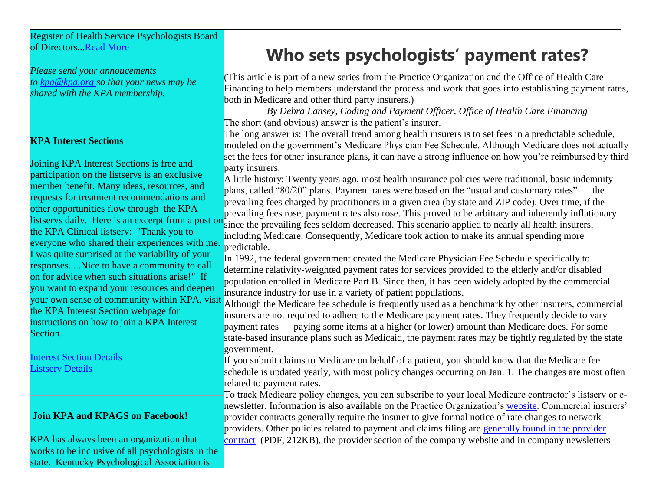Register of Health Service Psychologists Board of Directors..[.Read More](http://kpa.memberclicks.net/message2/link/292572b2-91f4-4bf8-82e1-138aea29f44c/5)

*Please send your annoucements to [kpa@kpa.org](http://kpa.memberclicks.net/message2/link/292572b2-91f4-4bf8-82e1-138aea29f44c/6) so that your news may be shared with the KPA membership.*

### **KPA Interest Sections**

Joining KPA Interest Sections is free and participation on the listservs is an exclusive member benefit. Many ideas, resources, and requests for treatment recommendations and other opportunities flow through the KPA listservs daily. Here is an excerpt from a post on the KPA Clinical listserv: "Thank you to everyone who shared their experiences with me. I was quite surprised at the variability of your responses.....Nice to have a community to call on for advice when such situations arise!" If you want to expand your resources and deepen your own sense of community within KPA, visit the KPA Interest Section webpage for instructions on how to join a KPA Interest Section.

[Interest Section Details](http://kpa.memberclicks.net/message2/link/292572b2-91f4-4bf8-82e1-138aea29f44c/7)  [Listserv Details](http://kpa.memberclicks.net/message2/link/292572b2-91f4-4bf8-82e1-138aea29f44c/8)

### **Join KPA and KPAGS on Facebook!**

KPA has always been an organization that works to be inclusive of all psychologists in the state. Kentucky Psychological Association is

### **Who sets psychologists' payment rates?**

(This article is part of a new series from the Practice Organization and the Office of Health Care Financing to help members understand the process and work that goes into establishing payment rates, both in Medicare and other third party insurers.)

*By Debra Lansey, Coding and Payment Officer, Office of Health Care Financing* The short (and obvious) answer is the patient's insurer.

The long answer is: The overall trend among health insurers is to set fees in a predictable schedule, modeled on the government's Medicare Physician Fee Schedule. Although Medicare does not actually set the fees for other insurance plans, it can have a strong influence on how you're reimbursed by third party insurers.

A little history: Twenty years ago, most health insurance policies were traditional, basic indemnity plans, called "80/20" plans. Payment rates were based on the "usual and customary rates" — the prevailing fees charged by practitioners in a given area (by state and ZIP code). Over time, if the prevailing fees rose, payment rates also rose. This proved to be arbitrary and inherently inflationary since the prevailing fees seldom decreased. This scenario applied to nearly all health insurers, including Medicare. Consequently, Medicare took action to make its annual spending more predictable.

In 1992, the federal government created the Medicare Physician Fee Schedule specifically to determine relativity-weighted payment rates for services provided to the elderly and/or disabled population enrolled in Medicare Part B. Since then, it has been widely adopted by the commercial insurance industry for use in a variety of patient populations.

Although the Medicare fee schedule is frequently used as a benchmark by other insurers, commercial insurers are not required to adhere to the Medicare payment rates. They frequently decide to vary payment rates — paying some items at a higher (or lower) amount than Medicare does. For some state-based insurance plans such as Medicaid, the payment rates may be tightly regulated by the state government.

If you submit claims to Medicare on behalf of a patient, you should know that the Medicare fee schedule is updated yearly, with most policy changes occurring on Jan. 1. The changes are most often related to payment rates.

To track Medicare policy changes, you can subscribe to your local Medicare contractor's listserv or  $\phi$ . newsletter. Information is also available on the Practice Organization's [website.](http://kpa.memberclicks.net/message2/link/292572b2-91f4-4bf8-82e1-138aea29f44c/19) Commercial insurers' provider contracts generally require the insurer to give formal notice of rate changes to network providers. Other policies related to payment and claims filing are generally found in the provider [contract](http://kpa.memberclicks.net/message2/link/292572b2-91f4-4bf8-82e1-138aea29f44c/20) (PDF, 212KB), the provider section of the company website and in company newsletters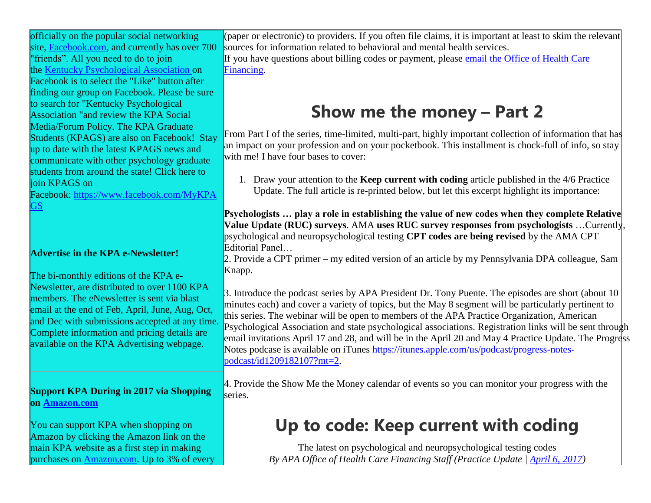officially on the popular social networking site, [Facebook.com,](http://facebook.com/) and currently has over 700 "friends". All you need to do to join the [Kentucky Psychological Association](http://kpa.memberclicks.net/message2/link/292572b2-91f4-4bf8-82e1-138aea29f44c/9) on Facebook is to select the "Like" button after finding our group on Facebook. Please be sure to search for "Kentucky Psychological Association "and review the KPA Social Media/Forum Policy. The KPA Graduate Students (KPAGS) are also on Facebook! Stay up to date with the latest KPAGS news and communicate with other psychology graduate students from around the state! Click here to

join KPAGS on Facebook: [https://www.facebook.com/MyKPA](http://kpa.memberclicks.net/message2/link/292572b2-91f4-4bf8-82e1-138aea29f44c/10) [GS](http://kpa.memberclicks.net/message2/link/292572b2-91f4-4bf8-82e1-138aea29f44c/10)

### **Advertise in the KPA e-Newsletter!**

The bi-monthly editions of the KPA e-Newsletter, are distributed to over 1100 KPA members. The eNewsletter is sent via blast email at the end of Feb, April, June, Aug, Oct, and Dec with submissions accepted at any time. Complete information and pricing details are available on the KPA Advertising webpage.

**Support KPA During in 2017 via Shopping on [Amazon.com](http://amazon.com/)**

You can support KPA when shopping on Amazon by clicking the Amazon link on the main KPA website as a first step in making purchases on **[Amazon.com.](http://amazon.com/)** Up to 3% of every

(paper or electronic) to providers. If you often file claims, it is important at least to skim the relevant sources for information related to behavioral and mental health services.

If you have questions about billing codes or payment, please [email the Office of Health Care](http://kpa.memberclicks.net/message2/link/292572b2-91f4-4bf8-82e1-138aea29f44c/21)  [Financing.](http://kpa.memberclicks.net/message2/link/292572b2-91f4-4bf8-82e1-138aea29f44c/21)

### **Show me the money – Part 2**

From Part I of the series, time-limited, multi-part, highly important collection of information that has an impact on your profession and on your pocketbook. This installment is chock-full of info, so stay with me! I have four bases to cover:

1. Draw your attention to the **Keep current with coding** article published in the 4/6 Practice Update. The full article is re-printed below, but let this excerpt highlight its importance:

**Psychologists … play a role in establishing the value of new codes when they complete Relative Value Update (RUC) surveys**. AMA **uses RUC survey responses from psychologists** …Currently, psychological and neuropsychological testing **CPT codes are being revised** by the AMA CPT Editorial Panel…

2. Provide a CPT primer – my edited version of an article by my Pennsylvania DPA colleague, Sam Knapp.

3. Introduce the podcast series by APA President Dr. Tony Puente. The episodes are short (about 10 minutes each) and cover a variety of topics, but the May 8 segment will be particularly pertinent to this series. The webinar will be open to members of the APA Practice Organization, American Psychological Association and state psychological associations. Registration links will be sent through email invitations April 17 and 28, and will be in the April 20 and May 4 Practice Update. The Progress Notes podcase is available on iTunes [https://itunes.apple.com/us/podcast/progress-notes](http://kpa.memberclicks.net/message2/link/292572b2-91f4-4bf8-82e1-138aea29f44c/22)[podcast/id1209182107?mt=2.](http://kpa.memberclicks.net/message2/link/292572b2-91f4-4bf8-82e1-138aea29f44c/22)

4. Provide the Show Me the Money calendar of events so you can monitor your progress with the series.

## **Up to code: Keep current with coding**

The latest on psychological and neuropsychological testing codes *By APA Office of Health Care Financing Staff (Practice Update | [April 6, 2017\)](http://kpa.memberclicks.net/message2/link/292572b2-91f4-4bf8-82e1-138aea29f44c/23)*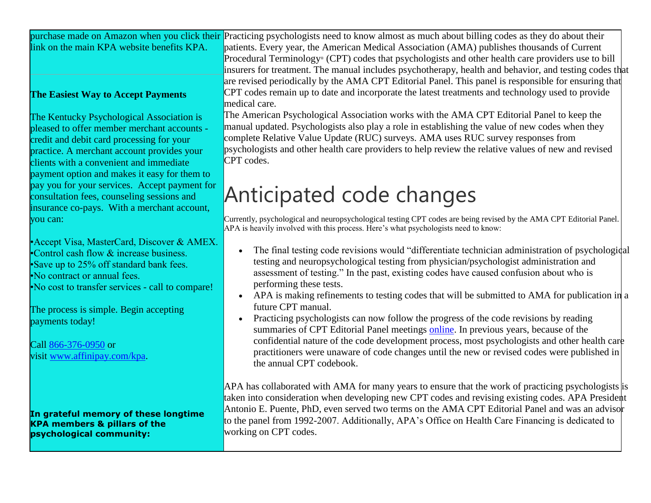|                                            | purchase made on Amazon when you click their Practicing psychologists need to know almost as much about billing codes as they do about their |
|--------------------------------------------|----------------------------------------------------------------------------------------------------------------------------------------------|
| link on the main KPA website benefits KPA. | <b>Induced by patients.</b> Every year, the American Medical Association (AMA) publishes thousands of Current                                |
|                                            | <b>Procedural Terminology</b> (CPT) codes that psychologists and other health care providers use to bill                                     |

### **The Easiest Way to Accept Payments**

The Kentucky Psychological Association is pleased to offer member merchant accounts credit and debit card processing for your practice. A merchant account provides your clients with a convenient and immediate payment option and makes it easy for them to pay you for your services. Accept payment for consultation fees, counseling sessions and insurance co-pays. With a merchant account, you can:

•Accept Visa, MasterCard, Discover & AMEX. •Control cash flow & increase business. •Save up to 25% off standard bank fees. •No contract or annual fees. •No cost to transfer services - call to compare!

The process is simple. Begin accepting payments today!

Call [866-376-0950](tel:866-376-0950) or visit [www.affinipay.com/kpa.](http://kpa.memberclicks.net/message2/link/292572b2-91f4-4bf8-82e1-138aea29f44c/11)

**In grateful memory of these longtime KPA members & pillars of the psychological community:**

Procedural Terminology® (CPT) codes that psychologists and other health care providers use to bill insurers for treatment. The manual includes psychotherapy, health and behavior, and testing codes that are revised periodically by the AMA CPT Editorial Panel. This panel is responsible for ensuring that CPT codes remain up to date and incorporate the latest treatments and technology used to provide medical care. The American Psychological Association works with the AMA CPT Editorial Panel to keep the

manual updated. Psychologists also play a role in establishing the value of new codes when they complete Relative Value Update (RUC) surveys. AMA uses RUC survey responses from psychologists and other health care providers to help review the relative values of new and revised CPT codes.

## Anticipated code changes

Currently, psychological and neuropsychological testing CPT codes are being revised by the AMA CPT Editorial Panel. APA is heavily involved with this process. Here's what psychologists need to know:

- The final testing code revisions would "differentiate technician administration of psychological testing and neuropsychological testing from physician/psychologist administration and assessment of testing." In the past, existing codes have caused confusion about who is performing these tests.
- APA is making refinements to testing codes that will be submitted to AMA for publication in a future CPT manual.
- Practicing psychologists can now follow the progress of the code revisions by reading summaries of CPT Editorial Panel meetings [online.](http://kpa.memberclicks.net/message2/link/292572b2-91f4-4bf8-82e1-138aea29f44c/24) In previous years, because of the confidential nature of the code development process, most psychologists and other health care practitioners were unaware of code changes until the new or revised codes were published in the annual CPT codebook.

APA has collaborated with AMA for many years to ensure that the work of practicing psychologists is taken into consideration when developing new CPT codes and revising existing codes. APA President Antonio E. Puente, PhD, even served two terms on the AMA CPT Editorial Panel and was an advisor to the panel from 1992-2007. Additionally, APA's Office on Health Care Financing is dedicated to working on CPT codes.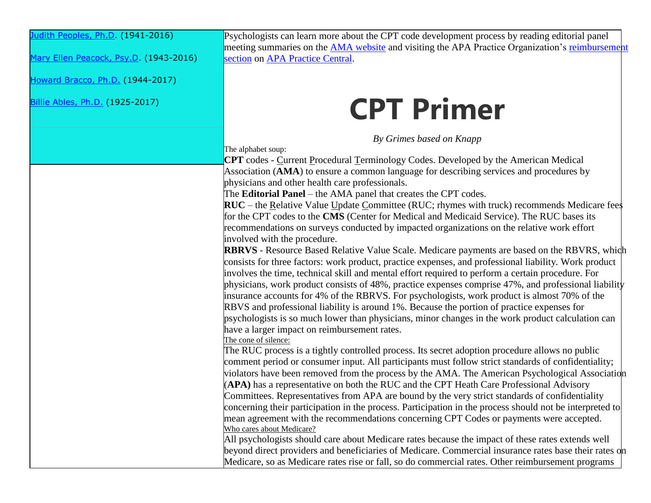[Judith Peoples, Ph.D.](http://kpa.memberclicks.net/message2/link/292572b2-91f4-4bf8-82e1-138aea29f44c/13) (1941-2016)

[Mary Ellen Peacock, Psy.D.](http://kpa.memberclicks.net/message2/link/292572b2-91f4-4bf8-82e1-138aea29f44c/12) (1943-2016)

[Howard Bracco, Ph.D.](http://kpa.memberclicks.net/message2/link/292572b2-91f4-4bf8-82e1-138aea29f44c/14) (1944-2017)

[Billie Ables, Ph.D.](http://kpa.memberclicks.net/message2/link/292572b2-91f4-4bf8-82e1-138aea29f44c/15) (1925-2017)

Psychologists can learn more about the CPT code development process by reading editorial panel meeting summaries on the [AMA website](http://kpa.memberclicks.net/message2/link/292572b2-91f4-4bf8-82e1-138aea29f44c/24) and visiting the APA Practice Organization's reimbursement [section](http://kpa.memberclicks.net/message2/link/292572b2-91f4-4bf8-82e1-138aea29f44c/19) on [APA Practice Central.](http://kpa.memberclicks.net/message2/link/292572b2-91f4-4bf8-82e1-138aea29f44c/25)

# **CPT Primer**

*By Grimes based on Knapp*

The alphabet soup:

**CPT** codes - Current Procedural Terminology Codes. Developed by the American Medical Association (**AMA**) to ensure a common language for describing services and procedures by physicians and other health care professionals.

The **Editorial Panel** – the AMA panel that creates the CPT codes.

**RUC** – the Relative Value Update Committee (RUC; rhymes with truck) recommends Medicare fees for the CPT codes to the **CMS** (Center for Medical and Medicaid Service). The RUC bases its recommendations on surveys conducted by impacted organizations on the relative work effort involved with the procedure.

**RBRVS** - Resource Based Relative Value Scale. Medicare payments are based on the RBVRS, which consists for three factors: work product, practice expenses, and professional liability. Work product involves the time, technical skill and mental effort required to perform a certain procedure. For physicians, work product consists of 48%, practice expenses comprise 47%, and professional liability insurance accounts for 4% of the RBRVS. For psychologists, work product is almost 70% of the RBVS and professional liability is around 1%. Because the portion of practice expenses for psychologists is so much lower than physicians, minor changes in the work product calculation can have a larger impact on reimbursement rates.

The cone of silence:

The RUC process is a tightly controlled process. Its secret adoption procedure allows no public comment period or consumer input. All participants must follow strict standards of confidentiality; violators have been removed from the process by the AMA. The American Psychological Association (**APA)** has a representative on both the RUC and the CPT Heath Care Professional Advisory Committees. Representatives from APA are bound by the very strict standards of confidentiality concerning their participation in the process. Participation in the process should not be interpreted to mean agreement with the recommendations concerning CPT Codes or payments were accepted. Who cares about Medicare?

All psychologists should care about Medicare rates because the impact of these rates extends well beyond direct providers and beneficiaries of Medicare. Commercial insurance rates base their rates on Medicare, so as Medicare rates rise or fall, so do commercial rates. Other reimbursement programs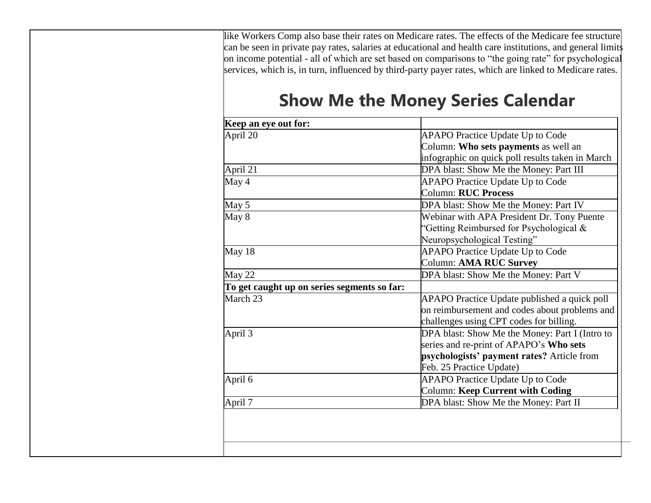like Workers Comp also base their rates on Medicare rates. The effects of the Medicare fee structure can be seen in private pay rates, salaries at educational and health care institutions, and general limits on income potential - all of which are set based on comparisons to "the going rate" for psychological services, which is, in turn, influenced by third-party payer rates, which are linked to Medicare rates.

### **Show Me the Money Series Calendar**

| Keep an eye out for:                        |                                                  |
|---------------------------------------------|--------------------------------------------------|
| April 20                                    | <b>APAPO Practice Update Up to Code</b>          |
|                                             | Column: Who sets payments as well an             |
|                                             | infographic on quick poll results taken in March |
| April 21                                    | DPA blast: Show Me the Money: Part III           |
| May 4                                       | <b>APAPO Practice Update Up to Code</b>          |
|                                             | <b>Column: RUC Process</b>                       |
| May 5                                       | DPA blast: Show Me the Money: Part IV            |
| May 8                                       | Webinar with APA President Dr. Tony Puente       |
|                                             | "Getting Reimbursed for Psychological $\&$       |
|                                             | Neuropsychological Testing"                      |
| May 18                                      | <b>APAPO Practice Update Up to Code</b>          |
|                                             | Column: AMA RUC Survey                           |
| May 22                                      | DPA blast: Show Me the Money: Part V             |
| To get caught up on series segments so far: |                                                  |
| March 23                                    | APAPO Practice Update published a quick poll     |
|                                             | on reimbursement and codes about problems and    |
|                                             | challenges using CPT codes for billing.          |
| April 3                                     | DPA blast: Show Me the Money: Part I (Intro to   |
|                                             | series and re-print of APAPO's Who sets          |
|                                             | psychologists' payment rates? Article from       |
|                                             | Feb. 25 Practice Update)                         |
| April 6                                     | <b>APAPO Practice Update Up to Code</b>          |
|                                             | <b>Column: Keep Current with Coding</b>          |
| April 7                                     | DPA blast: Show Me the Money: Part II            |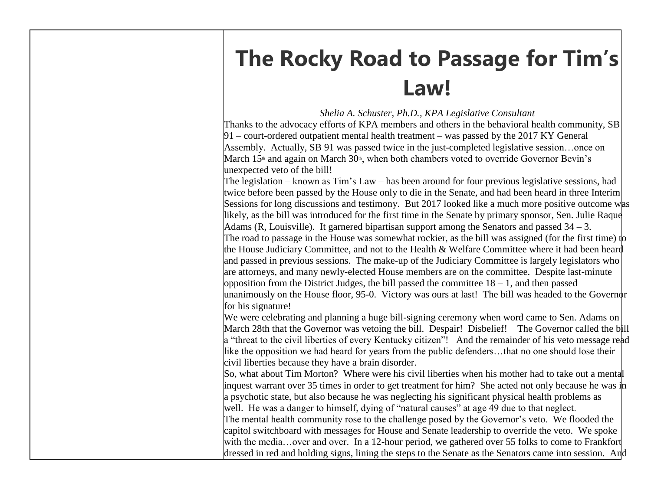## **The Rocky Road to Passage for Tim's Law!**

*Shelia A. Schuster, Ph.D., KPA Legislative Consultant*

Thanks to the advocacy efforts of KPA members and others in the behavioral health community, SB 91 – court-ordered outpatient mental health treatment – was passed by the 2017 KY General Assembly. Actually, SB 91 was passed twice in the just-completed legislative session…once on March 15<sup>th</sup> and again on March 30<sup>th</sup>, when both chambers voted to override Governor Bevin's unexpected veto of the bill!

The legislation – known as Tim's Law – has been around for four previous legislative sessions, had twice before been passed by the House only to die in the Senate, and had been heard in three Interim Sessions for long discussions and testimony. But 2017 looked like a much more positive outcome was likely, as the bill was introduced for the first time in the Senate by primary sponsor, Sen. Julie Raque Adams (R, Louisville). It garnered bipartisan support among the Senators and passed  $34 - 3$ . The road to passage in the House was somewhat rockier, as the bill was assigned (for the first time) to the House Judiciary Committee, and not to the Health & Welfare Committee where it had been heard and passed in previous sessions. The make-up of the Judiciary Committee is largely legislators who are attorneys, and many newly-elected House members are on the committee. Despite last-minute opposition from the District Judges, the bill passed the committee 18 – 1, and then passed unanimously on the House floor, 95-0. Victory was ours at last! The bill was headed to the Governor for his signature!

We were celebrating and planning a huge bill-signing ceremony when word came to Sen. Adams on March 28th that the Governor was vetoing the bill. Despair! Disbelief! The Governor called the bill a "threat to the civil liberties of every Kentucky citizen"! And the remainder of his veto message read like the opposition we had heard for years from the public defenders…that no one should lose their civil liberties because they have a brain disorder.

So, what about Tim Morton? Where were his civil liberties when his mother had to take out a mental inquest warrant over 35 times in order to get treatment for him? She acted not only because he was in a psychotic state, but also because he was neglecting his significant physical health problems as well. He was a danger to himself, dying of "natural causes" at age 49 due to that neglect.

The mental health community rose to the challenge posed by the Governor's veto. We flooded the capitol switchboard with messages for House and Senate leadership to override the veto. We spoke with the media...over and over. In a 12-hour period, we gathered over 55 folks to come to Frankfort dressed in red and holding signs, lining the steps to the Senate as the Senators came into session. And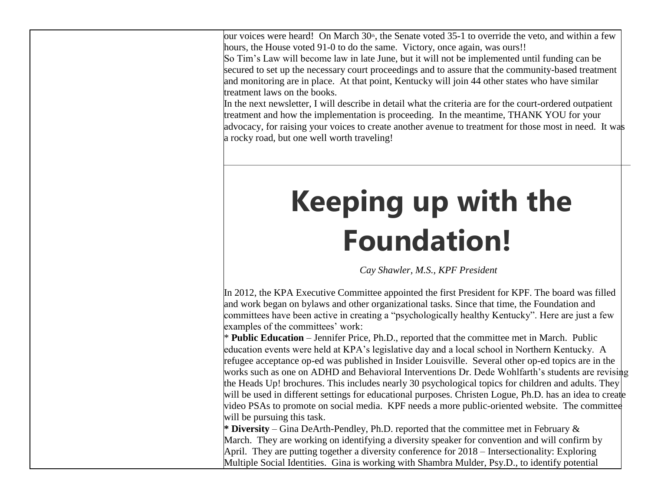our voices were heard! On March  $30<sup>th</sup>$ , the Senate voted 35-1 to override the veto, and within a few hours, the House voted 91-0 to do the same. Victory, once again, was ours!!

So Tim's Law will become law in late June, but it will not be implemented until funding can be secured to set up the necessary court proceedings and to assure that the community-based treatment and monitoring are in place. At that point, Kentucky will join 44 other states who have similar treatment laws on the books.

In the next newsletter, I will describe in detail what the criteria are for the court-ordered outpatient treatment and how the implementation is proceeding. In the meantime, THANK YOU for your advocacy, for raising your voices to create another avenue to treatment for those most in need. It was a rocky road, but one well worth traveling!

# **Keeping up with the Foundation!**

*Cay Shawler, M.S., KPF President*

In 2012, the KPA Executive Committee appointed the first President for KPF. The board was filled and work began on bylaws and other organizational tasks. Since that time, the Foundation and committees have been active in creating a "psychologically healthy Kentucky". Here are just a few examples of the committees' work:

\* **Public Education** – Jennifer Price, Ph.D., reported that the committee met in March. Public education events were held at KPA's legislative day and a local school in Northern Kentucky. A refugee acceptance op-ed was published in Insider Louisville. Several other op-ed topics are in the works such as one on ADHD and Behavioral Interventions Dr. Dede Wohlfarth's students are revising the Heads Up! brochures. This includes nearly 30 psychological topics for children and adults. They will be used in different settings for educational purposes. Christen Logue, Ph.D. has an idea to create video PSAs to promote on social media. KPF needs a more public-oriented website. The committee will be pursuing this task.

**\* Diversity** – Gina DeArth-Pendley, Ph.D. reported that the committee met in February & March. They are working on identifying a diversity speaker for convention and will confirm by April. They are putting together a diversity conference for 2018 – Intersectionality: Exploring Multiple Social Identities. Gina is working with Shambra Mulder, Psy.D., to identify potential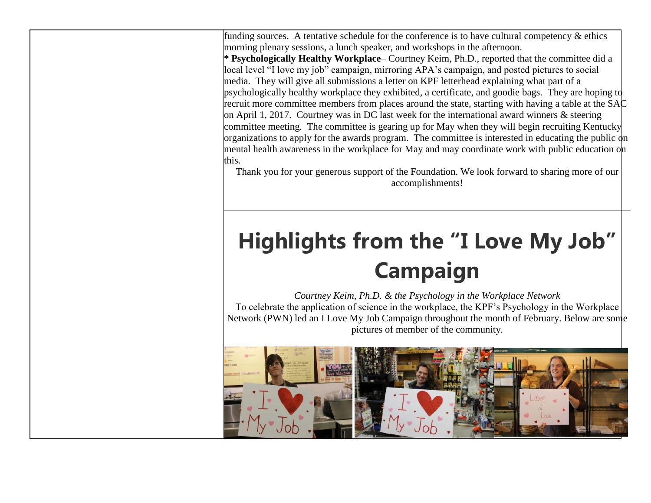funding sources. A tentative schedule for the conference is to have cultural competency & ethics morning plenary sessions, a lunch speaker, and workshops in the afternoon.

**\* Psychologically Healthy Workplace**– Courtney Keim, Ph.D., reported that the committee did a local level "I love my job" campaign, mirroring APA's campaign, and posted pictures to social media. They will give all submissions a letter on KPF letterhead explaining what part of a psychologically healthy workplace they exhibited, a certificate, and goodie bags. They are hoping to recruit more committee members from places around the state, starting with having a table at the SAC on April 1, 2017. Courtney was in DC last week for the international award winners  $\&$  steering committee meeting. The committee is gearing up for May when they will begin recruiting Kentucky organizations to apply for the awards program. The committee is interested in educating the public  $\phi$ n mental health awareness in the workplace for May and may coordinate work with public education on this.

Thank you for your generous support of the Foundation. We look forward to sharing more of our accomplishments!

## **Highlights from the "I Love My Job" Campaign**

*Courtney Keim, Ph.D. & the Psychology in the Workplace Network*

To celebrate the application of science in the workplace, the KPF's Psychology in the Workplace Network (PWN) led an I Love My Job Campaign throughout the month of February. Below are some pictures of member of the community.

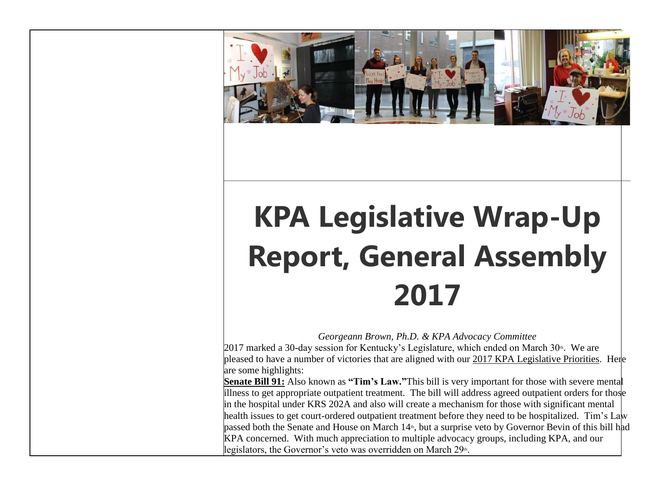

# **KPA Legislative Wrap-Up Report, General Assembly 2017**

*Georgeann Brown, Ph.D. & KPA Advocacy Committee*

2017 marked a 30-day session for Kentucky's Legislature, which ended on March  $30<sup>th</sup>$ . We are pleased to have a number of victories that are aligned with our 2017 KPA Legislative Priorities. Here are some highlights:

**Senate Bill 91:** Also known as **"Tim's Law."**This bill is very important for those with severe mental illness to get appropriate outpatient treatment. The bill will address agreed outpatient orders for those in the hospital under KRS 202A and also will create a mechanism for those with significant mental health issues to get court-ordered outpatient treatment before they need to be hospitalized. Tim's Law passed both the Senate and House on March 14<sup>th</sup>, but a surprise veto by Governor Bevin of this bill had KPA concerned. With much appreciation to multiple advocacy groups, including KPA, and our legislators, the Governor's veto was overridden on March 29<sup>th</sup>.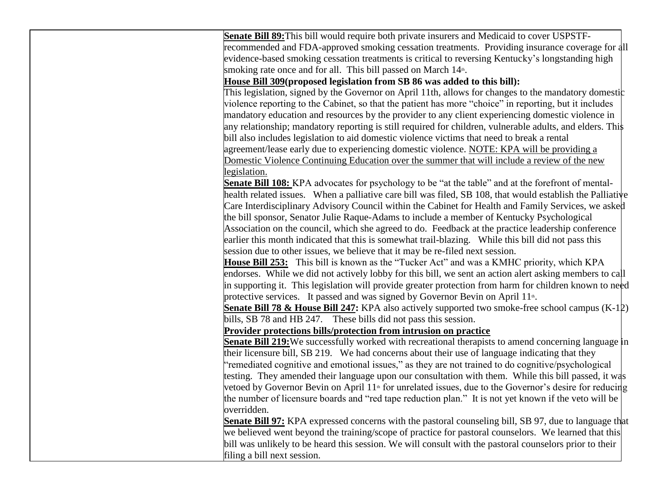**Senate Bill 89:**This bill would require both private insurers and Medicaid to cover USPSTFrecommended and FDA-approved smoking cessation treatments. Providing insurance coverage for all evidence-based smoking cessation treatments is critical to reversing Kentucky's longstanding high smoking rate once and for all. This bill passed on March 14<sup>th</sup>.

### **House Bill 309(proposed legislation from SB 86 was added to this bill):**

This legislation, signed by the Governor on April 11th, allows for changes to the mandatory domestic violence reporting to the Cabinet, so that the patient has more "choice" in reporting, but it includes mandatory education and resources by the provider to any client experiencing domestic violence in any relationship; mandatory reporting is still required for children, vulnerable adults, and elders. This bill also includes legislation to aid domestic violence victims that need to break a rental agreement/lease early due to experiencing domestic violence. NOTE: KPA will be providing a Domestic Violence Continuing Education over the summer that will include a review of the new legislation.

**Senate Bill 108:** KPA advocates for psychology to be "at the table" and at the forefront of mentalhealth related issues. When a palliative care bill was filed, SB 108, that would establish the Palliative Care Interdisciplinary Advisory Council within the Cabinet for Health and Family Services, we asked the bill sponsor, Senator Julie Raque-Adams to include a member of Kentucky Psychological Association on the council, which she agreed to do. Feedback at the practice leadership conference earlier this month indicated that this is somewhat trail-blazing. While this bill did not pass this session due to other issues, we believe that it may be re-filed next session.

**House Bill 253:** This bill is known as the "Tucker Act" and was a KMHC priority, which KPA endorses. While we did not actively lobby for this bill, we sent an action alert asking members to call in supporting it. This legislation will provide greater protection from harm for children known to need protective services. It passed and was signed by Governor Bevin on April 11<sup>th</sup>.

**Senate Bill 78 & House Bill 247:** KPA also actively supported two smoke-free school campus (K-12) bills, SB 78 and HB 247. These bills did not pass this session.

### **Provider protections bills/protection from intrusion on practice**

**Senate Bill 219:** We successfully worked with recreational therapists to amend concerning language in their licensure bill, SB 219. We had concerns about their use of language indicating that they "remediated cognitive and emotional issues," as they are not trained to do cognitive/psychological testing. They amended their language upon our consultation with them. While this bill passed, it was vetoed by Governor Bevin on April 11<sup>th</sup> for unrelated issues, due to the Governor's desire for reducing the number of licensure boards and "red tape reduction plan." It is not yet known if the veto will be overridden.

**Senate Bill 97:** KPA expressed concerns with the pastoral counseling bill, SB 97, due to language that we believed went beyond the training/scope of practice for pastoral counselors. We learned that this bill was unlikely to be heard this session. We will consult with the pastoral counselors prior to their filing a bill next session.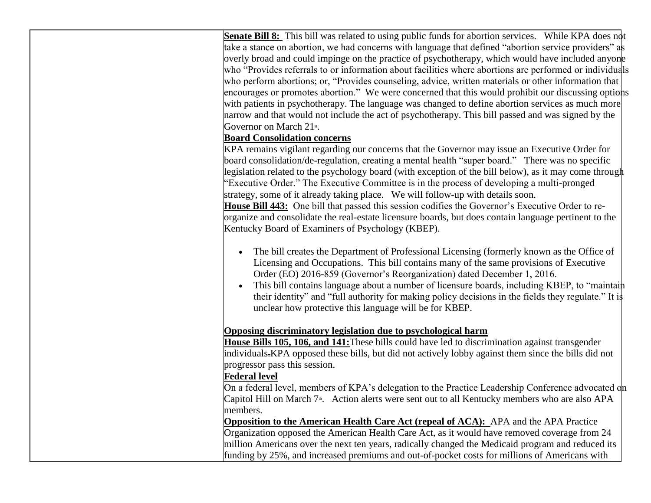**Senate Bill 8:** This bill was related to using public funds for abortion services. While KPA does not take a stance on abortion, we had concerns with language that defined "abortion service providers" as overly broad and could impinge on the practice of psychotherapy, which would have included anyone who "Provides referrals to or information about facilities where abortions are performed or individuals who perform abortions; or, "Provides counseling, advice, written materials or other information that encourages or promotes abortion." We were concerned that this would prohibit our discussing options with patients in psychotherapy. The language was changed to define abortion services as much more narrow and that would not include the act of psychotherapy. This bill passed and was signed by the Governor on March 21st.

### **Board Consolidation concerns**

KPA remains vigilant regarding our concerns that the Governor may issue an Executive Order for board consolidation/de-regulation, creating a mental health "super board." There was no specific legislation related to the psychology board (with exception of the bill below), as it may come through "Executive Order." The Executive Committee is in the process of developing a multi-pronged strategy, some of it already taking place. We will follow-up with details soon. **House Bill 443:** One bill that passed this session codifies the Governor's Executive Order to reorganize and consolidate the real-estate licensure boards, but does contain language pertinent to the Kentucky Board of Examiners of Psychology (KBEP).

- The bill creates the Department of Professional Licensing (formerly known as the Office of Licensing and Occupations. This bill contains many of the same provisions of Executive Order (EO) 2016-859 (Governor's Reorganization) dated December 1, 2016.
- This bill contains language about a number of licensure boards, including KBEP, to "maintain their identity" and "full authority for making policy decisions in the fields they regulate." It is unclear how protective this language will be for KBEP.

### **Opposing discriminatory legislation due to psychological harm**

**House Bills 105, 106, and 141:**These bills could have led to discrimination against transgender individuals.KPA opposed these bills, but did not actively lobby against them since the bills did not progressor pass this session.

### **Federal level**

On a federal level, members of KPA's delegation to the Practice Leadership Conference advocated on Capitol Hill on March 7<sup>th</sup>. Action alerts were sent out to all Kentucky members who are also APA members.

**Opposition to the American Health Care Act (repeal of ACA):** APA and the APA Practice Organization opposed the American Health Care Act, as it would have removed coverage from 24 million Americans over the next ten years, radically changed the Medicaid program and reduced its funding by 25%, and increased premiums and out-of-pocket costs for millions of Americans with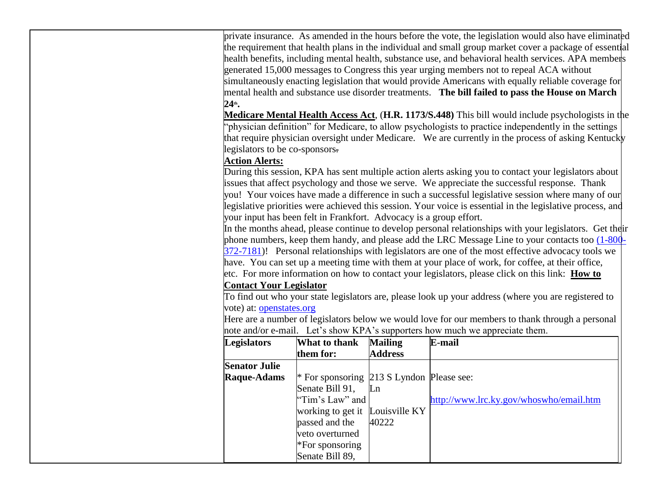private insurance. As amended in the hours before the vote, the legislation would also have eliminated the requirement that health plans in the individual and small group market cover a package of essential health benefits, including mental health, substance use, and behavioral health services. APA members generated 15,000 messages to Congress this year urging members not to repeal ACA without simultaneously enacting legislation that would provide Americans with equally reliable coverage for mental health and substance use disorder treatments. **The bill failed to pass the House on March 24th .**

**Medicare Mental Health Access Act**, (**H.R. 1173/S.448)** This bill would include psychologists in the "physician definition" for Medicare, to allow psychologists to practice independently in the settings that require physician oversight under Medicare. We are currently in the process of asking Kentucky legislators to be co-sponsors.

### **Action Alerts:**

During this session, KPA has sent multiple action alerts asking you to contact your legislators about issues that affect psychology and those we serve. We appreciate the successful response. Thank you! Your voices have made a difference in such a successful legislative session where many of our legislative priorities were achieved this session. Your voice is essential in the legislative process, and your input has been felt in Frankfort. Advocacy is a group effort.

In the months ahead, please continue to develop personal relationships with your legislators. Get their phone numbers, keep them handy, and please add the LRC Message Line to your contacts too [\(1-800-](tel:(800)%20372-7181) [372-7181\)](tel:(800)%20372-7181)! Personal relationships with legislators are one of the most effective advocacy tools we have. You can set up a meeting time with them at your place of work, for coffee, at their office, etc. For more information on how to contact your legislators, please click on this link: **How to** 

### **Contact Your Legislator**

To find out who your state legislators are, please look up your address (where you are registered to vote) at: [openstates.org](http://kpa.memberclicks.net/message2/link/292572b2-91f4-4bf8-82e1-138aea29f44c/26)

Here are a number of legislators below we would love for our members to thank through a personal note and/or e-mail. Let's show KPA's supporters how much we appreciate them.

| <b>Legislators</b>   | What to thank                             | <b>Mailing</b> | E-mail                                  |
|----------------------|-------------------------------------------|----------------|-----------------------------------------|
|                      | them for:                                 | <b>Address</b> |                                         |
| <b>Senator Julie</b> |                                           |                |                                         |
| <b>Raque-Adams</b>   | * For sponsoring 213 S Lyndon Please see: |                |                                         |
|                      | Senate Bill 91,                           | Ln             |                                         |
|                      | "Tim's Law" and                           |                | http://www.lrc.ky.gov/whoswho/email.htm |
|                      | working to get it Louisville KY           |                |                                         |
|                      | passed and the                            | 40222          |                                         |
|                      | veto overturned                           |                |                                         |
|                      | $*$ For sponsoring                        |                |                                         |
|                      | Senate Bill 89,                           |                |                                         |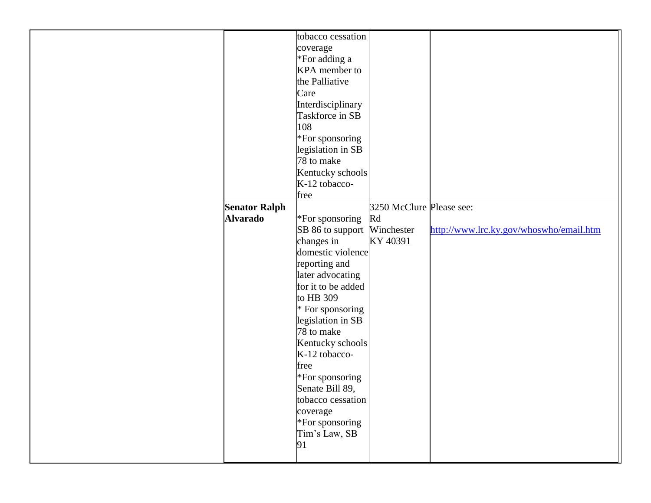|                      | tobacco cessation           |                          |                                         |
|----------------------|-----------------------------|--------------------------|-----------------------------------------|
|                      | coverage                    |                          |                                         |
|                      | *For adding a               |                          |                                         |
|                      | KPA member to               |                          |                                         |
|                      | the Palliative              |                          |                                         |
|                      | Care                        |                          |                                         |
|                      | Interdisciplinary           |                          |                                         |
|                      | Taskforce in SB             |                          |                                         |
|                      | 108                         |                          |                                         |
|                      | *For sponsoring             |                          |                                         |
|                      | legislation in SB           |                          |                                         |
|                      | 78 to make                  |                          |                                         |
|                      | Kentucky schools            |                          |                                         |
|                      | K-12 tobacco-               |                          |                                         |
|                      |                             |                          |                                         |
|                      | free                        |                          |                                         |
| <b>Senator Ralph</b> |                             | 3250 McClure Please see: |                                         |
| <b>Alvarado</b>      | *For sponsoring             | Rd                       |                                         |
|                      | SB 86 to support Winchester |                          | http://www.lrc.ky.gov/whoswho/email.htm |
|                      | changes in                  | KY 40391                 |                                         |
|                      | domestic violence           |                          |                                         |
|                      | reporting and               |                          |                                         |
|                      | later advocating            |                          |                                         |
|                      | for it to be added          |                          |                                         |
|                      | to HB 309                   |                          |                                         |
|                      | * For sponsoring            |                          |                                         |
|                      | legislation in SB           |                          |                                         |
|                      | 78 to make                  |                          |                                         |
|                      | Kentucky schools            |                          |                                         |
|                      | K-12 tobacco-               |                          |                                         |
|                      | free                        |                          |                                         |
|                      | *For sponsoring             |                          |                                         |
|                      | Senate Bill 89,             |                          |                                         |
|                      | tobacco cessation           |                          |                                         |
|                      | coverage                    |                          |                                         |
|                      | *For sponsoring             |                          |                                         |
|                      |                             |                          |                                         |
|                      | Tim's Law, SB               |                          |                                         |
|                      | 91                          |                          |                                         |
|                      |                             |                          |                                         |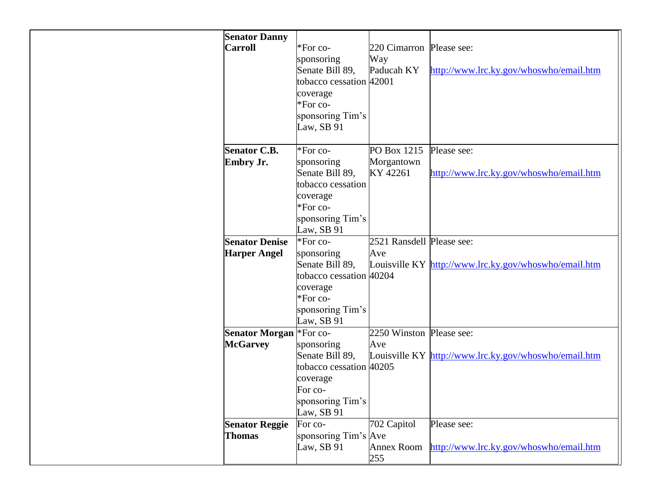| <b>Senator Danny</b>  |                                                                                                                   |                           |                                                       |
|-----------------------|-------------------------------------------------------------------------------------------------------------------|---------------------------|-------------------------------------------------------|
| <b>Carroll</b>        | *For co-                                                                                                          | 220 Cimarron Please see:  |                                                       |
|                       | sponsoring                                                                                                        | Way                       |                                                       |
|                       | Senate Bill 89,                                                                                                   | Paducah KY                | http://www.lrc.ky.gov/whoswho/email.htm               |
|                       | tobacco cessation 42001                                                                                           |                           |                                                       |
|                       |                                                                                                                   |                           |                                                       |
|                       | coverage                                                                                                          |                           |                                                       |
|                       | *For co-                                                                                                          |                           |                                                       |
|                       | sponsoring Tim's                                                                                                  |                           |                                                       |
|                       | Law, SB 91                                                                                                        |                           |                                                       |
|                       |                                                                                                                   |                           |                                                       |
| <b>Senator C.B.</b>   | *For co-                                                                                                          | PO Box 1215               | Please see:                                           |
| Embry Jr.             | sponsoring                                                                                                        | Morgantown                |                                                       |
|                       | Senate Bill 89,                                                                                                   | KY 42261                  | http://www.lrc.ky.gov/whoswho/email.htm               |
|                       | tobacco cessation                                                                                                 |                           |                                                       |
|                       | coverage                                                                                                          |                           |                                                       |
|                       | *For co-                                                                                                          |                           |                                                       |
|                       |                                                                                                                   |                           |                                                       |
|                       | sponsoring Tim's                                                                                                  |                           |                                                       |
|                       | Law, SB 91                                                                                                        |                           |                                                       |
| <b>Senator Denise</b> | *For co-                                                                                                          | 2521 Ransdell Please see: |                                                       |
| <b>Harper Angel</b>   | sponsoring                                                                                                        | Ave                       |                                                       |
|                       | Senate Bill 89,                                                                                                   |                           | Louisville KY http://www.lrc.ky.gov/whoswho/email.htm |
|                       | tobacco cessation 40204                                                                                           |                           |                                                       |
|                       | coverage                                                                                                          |                           |                                                       |
|                       | *For co-                                                                                                          |                           |                                                       |
|                       | sponsoring Tim's                                                                                                  |                           |                                                       |
|                       | Law, SB 91                                                                                                        |                           |                                                       |
| <b>Senator Morgan</b> | *For co-                                                                                                          | 2250 Winston Please see:  |                                                       |
|                       |                                                                                                                   |                           |                                                       |
|                       |                                                                                                                   |                           |                                                       |
|                       |                                                                                                                   |                           |                                                       |
|                       |                                                                                                                   |                           |                                                       |
|                       |                                                                                                                   |                           |                                                       |
|                       |                                                                                                                   |                           |                                                       |
|                       |                                                                                                                   |                           |                                                       |
|                       |                                                                                                                   |                           |                                                       |
| <b>Senator Reggie</b> | For co-                                                                                                           | 702 Capitol               | Please see:                                           |
| <b>Thomas</b>         | sponsoring Tim's Ave                                                                                              |                           |                                                       |
|                       | Law, SB 91                                                                                                        | <b>Annex Room</b>         | http://www.lrc.ky.gov/whoswho/email.htm               |
|                       |                                                                                                                   | 255                       |                                                       |
| <b>McGarvey</b>       | sponsoring<br>Senate Bill 89,<br>tobacco cessation 40205<br>coverage<br>For co-<br>sponsoring Tim's<br>Law, SB 91 | Ave                       | Louisville KY http://www.lrc.ky.gov/whoswho/email.htm |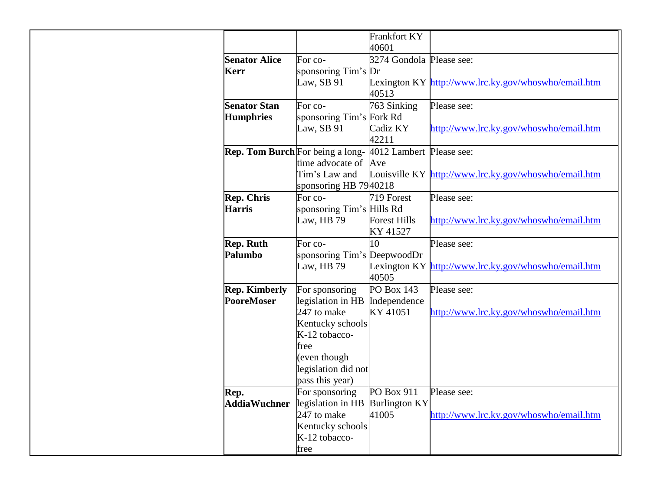|                      |                                                                  | <b>Frankfort KY</b><br>40601 |                                                       |
|----------------------|------------------------------------------------------------------|------------------------------|-------------------------------------------------------|
| <b>Senator Alice</b> | For co-                                                          | 3274 Gondola Please see:     |                                                       |
| <b>Kerr</b>          | sponsoring Tim's Dr                                              |                              |                                                       |
|                      | Law, SB 91                                                       |                              | Lexington KY http://www.lrc.ky.gov/whoswho/email.htm  |
|                      |                                                                  | 40513                        |                                                       |
| <b>Senator Stan</b>  | For co-                                                          | 763 Sinking                  | Please see:                                           |
| <b>Humphries</b>     | sponsoring Tim's Fork Rd                                         |                              |                                                       |
|                      | Law, SB 91                                                       | Cadiz KY<br>42211            | http://www.lrc.ky.gov/whoswho/email.htm               |
|                      | <b>Rep. Tom Burch</b> For being a long- 4012 Lambert Please see: |                              |                                                       |
|                      | time advocate of                                                 | Ave                          |                                                       |
|                      | Tim's Law and                                                    |                              | Louisville KY http://www.lrc.ky.gov/whoswho/email.htm |
|                      | sponsoring HB 7940218                                            |                              |                                                       |
| <b>Rep. Chris</b>    | For co-                                                          | 719 Forest                   | Please see:                                           |
| <b>Harris</b>        | sponsoring Tim's Hills Rd                                        |                              |                                                       |
|                      | Law, HB 79                                                       | <b>Forest Hills</b>          | http://www.lrc.ky.gov/whoswho/email.htm               |
|                      |                                                                  | KY 41527                     |                                                       |
| <b>Rep. Ruth</b>     | For co-                                                          | 10                           | Please see:                                           |
| Palumbo              | sponsoring Tim's DeepwoodDr                                      |                              |                                                       |
|                      | Law, HB 79                                                       | 40505                        | Lexington KY http://www.lrc.ky.gov/whoswho/email.htm  |
| <b>Rep. Kimberly</b> | For sponsoring                                                   | PO Box 143                   | Please see:                                           |
| <b>PooreMoser</b>    | legislation in HB                                                | Independence                 |                                                       |
|                      | 247 to make                                                      | KY 41051                     | http://www.lrc.ky.gov/whoswho/email.htm               |
|                      | Kentucky schools                                                 |                              |                                                       |
|                      | K-12 tobacco-                                                    |                              |                                                       |
|                      | free                                                             |                              |                                                       |
|                      | (even though<br>legislation did not                              |                              |                                                       |
|                      | pass this year)                                                  |                              |                                                       |
| Rep.                 | For sponsoring                                                   | PO Box 911                   | Please see:                                           |
| <b>AddiaWuchner</b>  | legislation in HB                                                | <b>Burlington KY</b>         |                                                       |
|                      | 247 to make                                                      | 41005                        | http://www.lrc.ky.gov/whoswho/email.htm               |
|                      | Kentucky schools                                                 |                              |                                                       |
|                      | K-12 tobacco-                                                    |                              |                                                       |
|                      | free                                                             |                              |                                                       |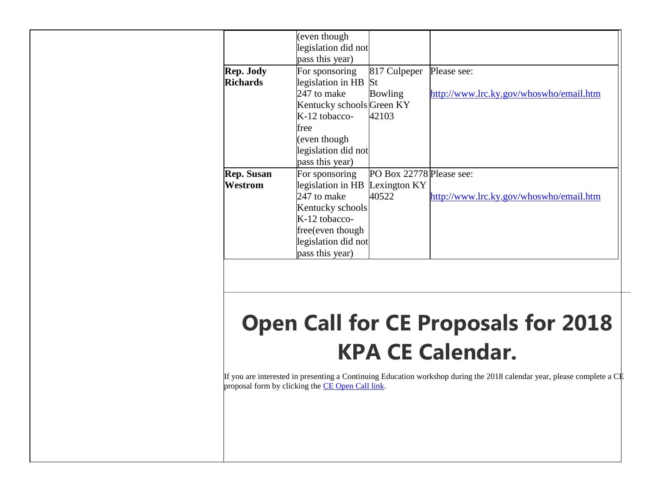|                   | (even though                   |                          |                                         |
|-------------------|--------------------------------|--------------------------|-----------------------------------------|
|                   | legislation did not            |                          |                                         |
|                   | pass this year)                |                          |                                         |
| Rep. Jody         | For sponsoring                 | 817 Culpeper             | Please see:                             |
| <b>Richards</b>   | legislation in HB St           |                          |                                         |
|                   | 247 to make                    | <b>Bowling</b>           | http://www.lrc.ky.gov/whoswho/email.htm |
|                   | Kentucky schools Green KY      |                          |                                         |
|                   | $K-12$ tobacco-                | 42103                    |                                         |
|                   | free                           |                          |                                         |
|                   | (even though                   |                          |                                         |
|                   | legislation did not            |                          |                                         |
|                   | pass this year)                |                          |                                         |
| <b>Rep.</b> Susan | For sponsoring                 | PO Box 22778 Please see: |                                         |
| Westrom           | legislation in HB Lexington KY |                          |                                         |
|                   | 247 to make                    | 40522                    | http://www.lrc.ky.gov/whoswho/email.htm |
|                   | Kentucky schools               |                          |                                         |
|                   | K-12 tobacco-                  |                          |                                         |
|                   | free(even though               |                          |                                         |
|                   | legislation did not            |                          |                                         |
|                   | pass this year)                |                          |                                         |
|                   |                                |                          |                                         |

## **Open Call for CE Proposals for 2018 KPA CE Calendar.**

If you are interested in presenting a Continuing Education workshop during the 2018 calendar year, please complete a CE proposal form by clicking the [CE Open Call link.](http://kpa.memberclicks.net/message2/link/292572b2-91f4-4bf8-82e1-138aea29f44c/28)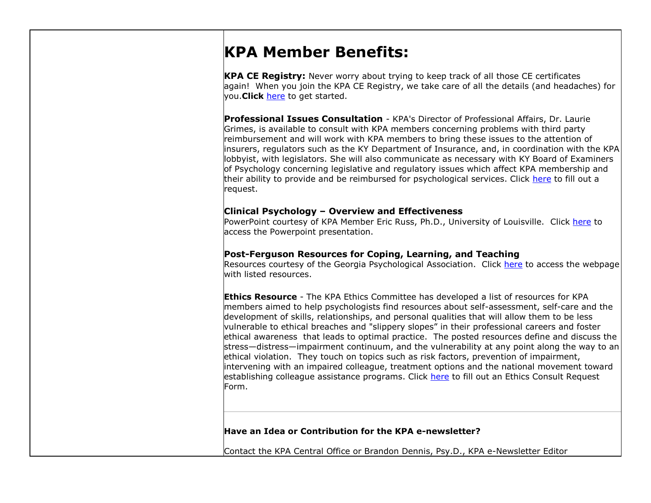### **KPA Member Benefits:**

**KPA CE Registry:** Never worry about trying to keep track of all those CE certificates again! When you join the KPA CE Registry, we take care of all the details (and headaches) for you.**Click** [here](http://kpa.memberclicks.net/message2/link/292572b2-91f4-4bf8-82e1-138aea29f44c/29) to get started.

**Professional Issues Consultation** - KPA's Director of Professional Affairs, Dr. Laurie Grimes, is available to consult with KPA members concerning problems with third party reimbursement and will work with KPA members to bring these issues to the attention of insurers, regulators such as the KY Department of Insurance, and, in coordination with the KPA lobbyist, with legislators. She will also communicate as necessary with KY Board of Examiners of Psychology concerning legislative and regulatory issues which affect KPA membership and their ability to provide and be reimbursed for psychological services. Click [here](http://kpa.memberclicks.net/message2/link/292572b2-91f4-4bf8-82e1-138aea29f44c/30) to fill out a request.

### **Clinical Psychology – Overview and Effectiveness**

PowerPoint courtesy of KPA Member Eric Russ, Ph.D., University of Louisville. Click [here](http://kpa.memberclicks.net/message2/link/292572b2-91f4-4bf8-82e1-138aea29f44c/31) to access the Powerpoint presentation.

### **Post-Ferguson Resources for Coping, Learning, and Teaching**

Resources courtesy of the Georgia Psychological Association. Click [here](http://kpa.memberclicks.net/message2/link/292572b2-91f4-4bf8-82e1-138aea29f44c/32) to access the webpage with listed resources.

**Ethics Resource** - The KPA Ethics Committee has developed a list of resources for KPA members aimed to help psychologists find resources about self-assessment, self-care and the development of skills, relationships, and personal qualities that will allow them to be less vulnerable to ethical breaches and "slippery slopes" in their professional careers and foster ethical awareness that leads to optimal practice. The posted resources define and discuss the stress—distress—impairment continuum, and the vulnerability at any point along the way to an ethical violation. They touch on topics such as risk factors, prevention of impairment, intervening with an impaired colleague, treatment options and the national movement toward establishing colleague assistance programs. Click [here](http://kpa.memberclicks.net/message2/link/292572b2-91f4-4bf8-82e1-138aea29f44c/33) to fill out an Ethics Consult Request Form.

### **Have an Idea or Contribution for the KPA e-newsletter?**

Contact the KPA Central Office or Brandon Dennis, Psy.D., KPA e-Newsletter Editor